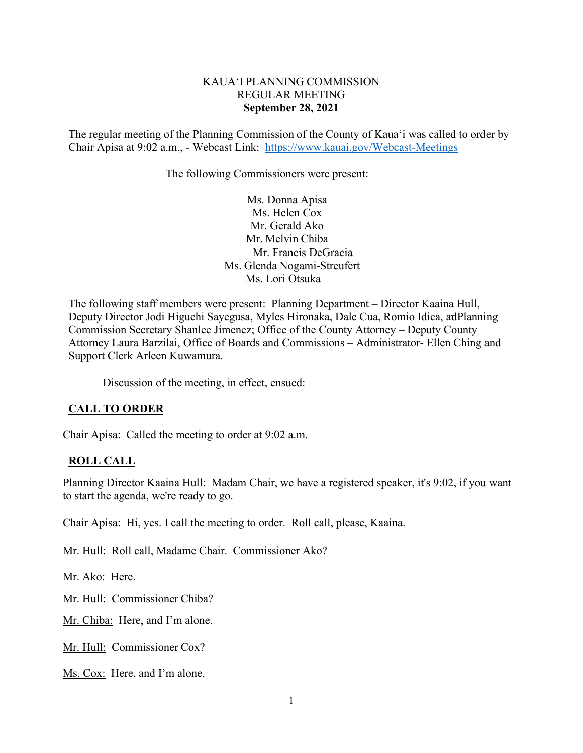## KAUA'I PLANNING COMMISSION REGULAR MEETING **September 28, 2021**

The regular meeting of the Planning Commission of the County of Kaua'i was called to order by Chair Apisa at 9:02 a.m., - Webcast Link: <https://www.kauai.gov/Webcast-Meetings>

The following Commissioners were present:

Ms. Donna Apisa Ms. Helen Cox Mr. Gerald Ako Mr. Melvin Chiba Mr. Francis DeGracia Ms. Glenda Nogami-Streufert Ms. Lori Otsuka

The following staff members were present: Planning Department – Director Kaaina Hull, Deputy Director Jodi Higuchi Sayegusa, Myles Hironaka, Dale Cua, Romio Idica, adPlanning Commission Secretary Shanlee Jimenez; Office of the County Attorney – Deputy County Attorney Laura Barzilai, Office of Boards and Commissions – Administrator- Ellen Ching and Support Clerk Arleen Kuwamura.

Discussion of the meeting, in effect, ensued:

# **CALL TO ORDER**

Chair Apisa: Called the meeting to order at 9:02 a.m.

### **ROLL CALL**

Planning Director Kaaina Hull: Madam Chair, we have a registered speaker, it's 9:02, if you want to start the agenda, we're ready to go.

Chair Apisa: Hi, yes. I call the meeting to order. Roll call, please, Kaaina.

Mr. Hull: Roll call, Madame Chair. Commissioner Ako?

Mr. Ako: Here.

Mr. Hull: Commissioner Chiba?

Mr. Chiba: Here, and I'm alone.

Mr. Hull: Commissioner Cox?

Ms. Cox: Here, and I'm alone.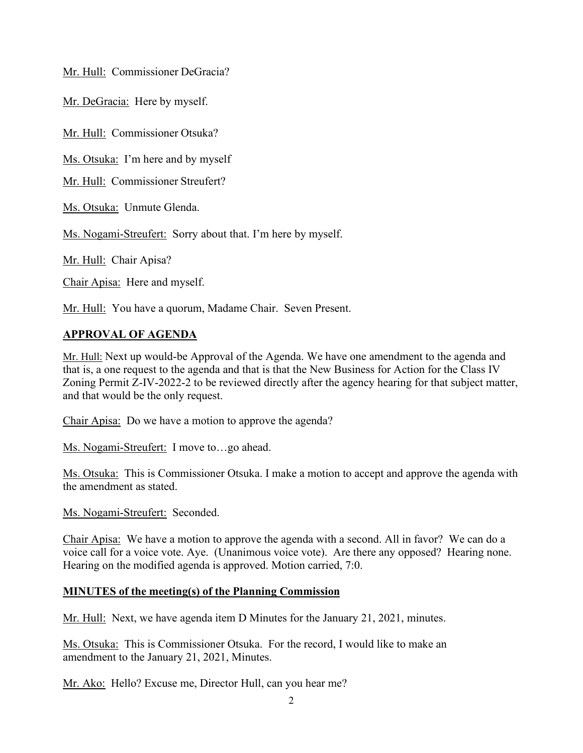Mr. Hull: Commissioner DeGracia?

Mr. DeGracia: Here by myself.

Mr. Hull: Commissioner Otsuka?

Ms. Otsuka: I'm here and by myself

Mr. Hull: Commissioner Streufert?

Ms. Otsuka: Unmute Glenda.

Ms. Nogami-Streufert: Sorry about that. I'm here by myself.

Mr. Hull: Chair Apisa?

Chair Apisa: Here and myself.

Mr. Hull: You have a quorum, Madame Chair. Seven Present.

# **APPROVAL OF AGENDA**

Mr. Hull: Next up would-be Approval of the Agenda. We have one amendment to the agenda and that is, a one request to the agenda and that is that the New Business for Action for the Class IV Zoning Permit Z-IV-2022-2 to be reviewed directly after the agency hearing for that subject matter, and that would be the only request.

Chair Apisa: Do we have a motion to approve the agenda?

Ms. Nogami-Streufert: I move to…go ahead.

Ms. Otsuka: This is Commissioner Otsuka. I make a motion to accept and approve the agenda with the amendment as stated.

Ms. Nogami-Streufert: Seconded.

Chair Apisa: We have a motion to approve the agenda with a second. All in favor? We can do a voice call for a voice vote. Aye. (Unanimous voice vote). Are there any opposed? Hearing none. Hearing on the modified agenda is approved. Motion carried, 7:0.

# **MINUTES of the meeting(s) of the Planning Commission**

Mr. Hull: Next, we have agenda item D Minutes for the January 21, 2021, minutes.

Ms. Otsuka: This is Commissioner Otsuka. For the record, I would like to make an amendment to the January 21, 2021, Minutes.

Mr. Ako: Hello? Excuse me, Director Hull, can you hear me?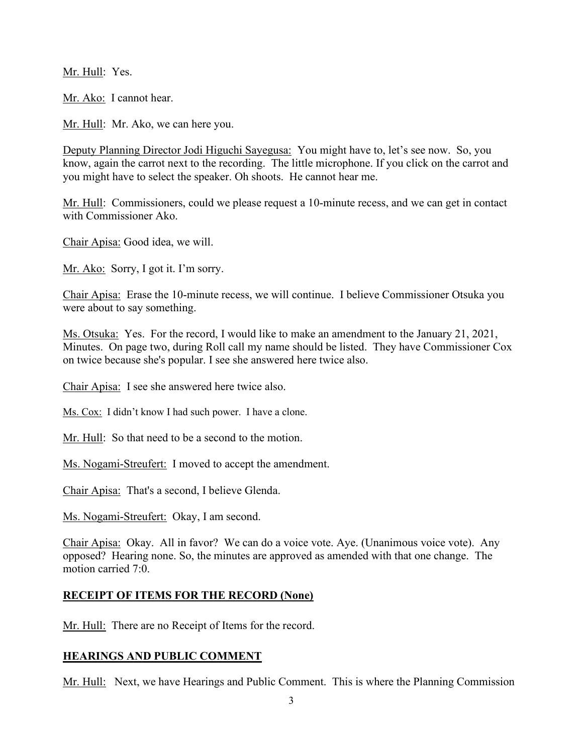Mr. Hull: Yes.

Mr. Ako: I cannot hear.

Mr. Hull: Mr. Ako, we can here you.

Deputy Planning Director Jodi Higuchi Sayegusa: You might have to, let's see now. So, you know, again the carrot next to the recording. The little microphone. If you click on the carrot and you might have to select the speaker. Oh shoots. He cannot hear me.

Mr. Hull: Commissioners, could we please request a 10-minute recess, and we can get in contact with Commissioner Ako.

Chair Apisa: Good idea, we will.

Mr. Ako: Sorry, I got it. I'm sorry.

Chair Apisa: Erase the 10-minute recess, we will continue. I believe Commissioner Otsuka you were about to say something.

Ms. Otsuka: Yes. For the record, I would like to make an amendment to the January 21, 2021, Minutes. On page two, during Roll call my name should be listed. They have Commissioner Cox on twice because she's popular. I see she answered here twice also.

Chair Apisa: I see she answered here twice also.

Ms. Cox: I didn't know I had such power. I have a clone.

Mr. Hull: So that need to be a second to the motion.

Ms. Nogami-Streufert: I moved to accept the amendment.

Chair Apisa: That's a second, I believe Glenda.

Ms. Nogami-Streufert: Okay, I am second.

Chair Apisa: Okay. All in favor? We can do a voice vote. Aye. (Unanimous voice vote). Any opposed? Hearing none. So, the minutes are approved as amended with that one change. The motion carried 7:0.

# **RECEIPT OF ITEMS FOR THE RECORD (None)**

Mr. Hull: There are no Receipt of Items for the record.

# **HEARINGS AND PUBLIC COMMENT**

Mr. Hull: Next, we have Hearings and Public Comment. This is where the Planning Commission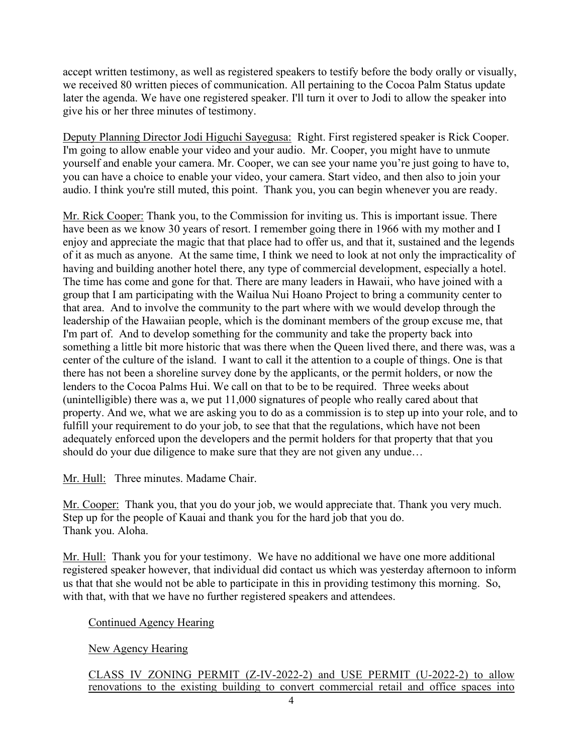accept written testimony, as well as registered speakers to testify before the body orally or visually, we received 80 written pieces of communication. All pertaining to the Cocoa Palm Status update later the agenda. We have one registered speaker. I'll turn it over to Jodi to allow the speaker into give his or her three minutes of testimony.

Deputy Planning Director Jodi Higuchi Sayegusa: Right. First registered speaker is Rick Cooper. I'm going to allow enable your video and your audio. Mr. Cooper, you might have to unmute yourself and enable your camera. Mr. Cooper, we can see your name you're just going to have to, you can have a choice to enable your video, your camera. Start video, and then also to join your audio. I think you're still muted, this point. Thank you, you can begin whenever you are ready.

Mr. Rick Cooper: Thank you, to the Commission for inviting us. This is important issue. There have been as we know 30 years of resort. I remember going there in 1966 with my mother and I enjoy and appreciate the magic that that place had to offer us, and that it, sustained and the legends of it as much as anyone. At the same time, I think we need to look at not only the impracticality of having and building another hotel there, any type of commercial development, especially a hotel. The time has come and gone for that. There are many leaders in Hawaii, who have joined with a group that I am participating with the Wailua Nui Hoano Project to bring a community center to that area. And to involve the community to the part where with we would develop through the leadership of the Hawaiian people, which is the dominant members of the group excuse me, that I'm part of. And to develop something for the community and take the property back into something a little bit more historic that was there when the Queen lived there, and there was, was a center of the culture of the island. I want to call it the attention to a couple of things. One is that there has not been a shoreline survey done by the applicants, or the permit holders, or now the lenders to the Cocoa Palms Hui. We call on that to be to be required. Three weeks about (unintelligible) there was a, we put 11,000 signatures of people who really cared about that property. And we, what we are asking you to do as a commission is to step up into your role, and to fulfill your requirement to do your job, to see that that the regulations, which have not been adequately enforced upon the developers and the permit holders for that property that that you should do your due diligence to make sure that they are not given any undue…

Mr. Hull: Three minutes. Madame Chair.

Mr. Cooper: Thank you, that you do your job, we would appreciate that. Thank you very much. Step up for the people of Kauai and thank you for the hard job that you do. Thank you. Aloha.

Mr. Hull: Thank you for your testimony. We have no additional we have one more additional registered speaker however, that individual did contact us which was yesterday afternoon to inform us that that she would not be able to participate in this in providing testimony this morning. So, with that, with that we have no further registered speakers and attendees.

Continued Agency Hearing

New Agency Hearing

CLASS IV ZONING PERMIT (Z-IV-2022-2) and USE PERMIT (U-2022-2) to allow renovations to the existing building to convert commercial retail and office spaces into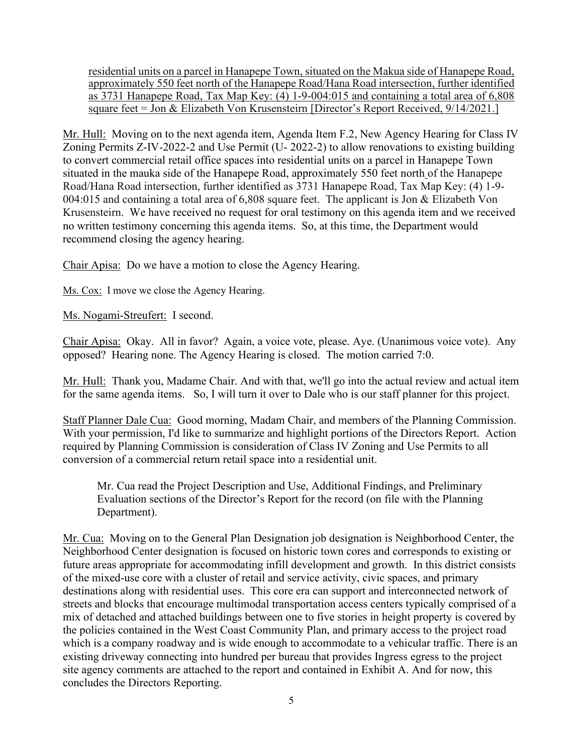residential units on a parcel in Hanapepe Town, situated on the Makua side of Hanapepe Road, approximately 550 feet north of the Hanapepe Road/Hana Road intersection, further identified as 3731 Hanapepe Road, Tax Map Key:  $(4)$  1-9-004:015 and containing a total area of 6,808 square feet = Jon & Elizabeth Von Krusensteirn [Director's Report Received, 9/14/2021.]

Mr. Hull: Moving on to the next agenda item, Agenda Item F.2, New Agency Hearing for Class IV Zoning Permits Z-IV-2022-2 and Use Permit (U- 2022-2) to allow renovations to existing building to convert commercial retail office spaces into residential units on a parcel in Hanapepe Town situated in the mauka side of the Hanapepe Road, approximately 550 feet north of the Hanapepe Road/Hana Road intersection, further identified as 3731 Hanapepe Road, Tax Map Key: (4) 1-9- 004:015 and containing a total area of 6,808 square feet. The applicant is Jon & Elizabeth Von Krusensteirn. We have received no request for oral testimony on this agenda item and we received no written testimony concerning this agenda items. So, at this time, the Department would recommend closing the agency hearing.

Chair Apisa: Do we have a motion to close the Agency Hearing.

Ms. Cox: I move we close the Agency Hearing.

Ms. Nogami-Streufert: I second.

Chair Apisa: Okay. All in favor? Again, a voice vote, please. Aye. (Unanimous voice vote). Any opposed? Hearing none. The Agency Hearing is closed. The motion carried 7:0.

Mr. Hull: Thank you, Madame Chair. And with that, we'll go into the actual review and actual item for the same agenda items. So, I will turn it over to Dale who is our staff planner for this project.

Staff Planner Dale Cua: Good morning, Madam Chair, and members of the Planning Commission. With your permission, I'd like to summarize and highlight portions of the Directors Report. Action required by Planning Commission is consideration of Class IV Zoning and Use Permits to all conversion of a commercial return retail space into a residential unit.

Mr. Cua read the Project Description and Use, Additional Findings, and Preliminary Evaluation sections of the Director's Report for the record (on file with the Planning Department).

Mr. Cua: Moving on to the General Plan Designation job designation is Neighborhood Center, the Neighborhood Center designation is focused on historic town cores and corresponds to existing or future areas appropriate for accommodating infill development and growth. In this district consists of the mixed-use core with a cluster of retail and service activity, civic spaces, and primary destinations along with residential uses. This core era can support and interconnected network of streets and blocks that encourage multimodal transportation access centers typically comprised of a mix of detached and attached buildings between one to five stories in height property is covered by the policies contained in the West Coast Community Plan, and primary access to the project road which is a company roadway and is wide enough to accommodate to a vehicular traffic. There is an existing driveway connecting into hundred per bureau that provides Ingress egress to the project site agency comments are attached to the report and contained in Exhibit A. And for now, this concludes the Directors Reporting.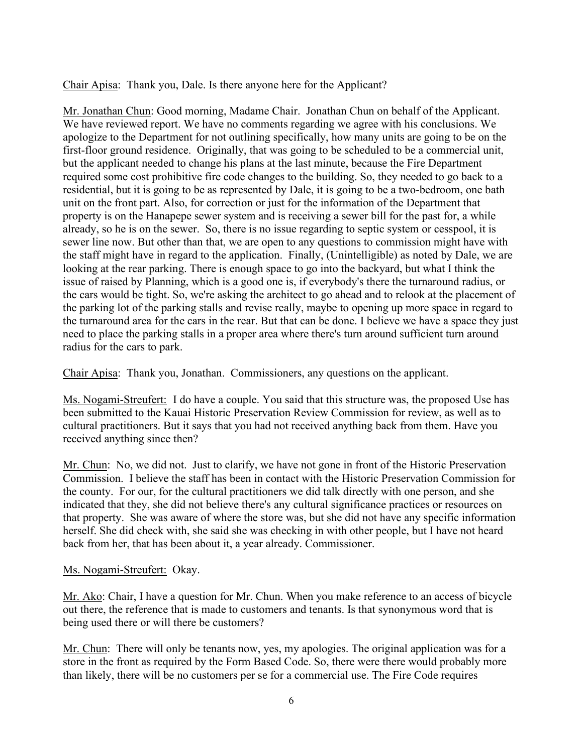Chair Apisa: Thank you, Dale. Is there anyone here for the Applicant?

Mr. Jonathan Chun: Good morning, Madame Chair. Jonathan Chun on behalf of the Applicant. We have reviewed report. We have no comments regarding we agree with his conclusions. We apologize to the Department for not outlining specifically, how many units are going to be on the first-floor ground residence. Originally, that was going to be scheduled to be a commercial unit, but the applicant needed to change his plans at the last minute, because the Fire Department required some cost prohibitive fire code changes to the building. So, they needed to go back to a residential, but it is going to be as represented by Dale, it is going to be a two-bedroom, one bath unit on the front part. Also, for correction or just for the information of the Department that property is on the Hanapepe sewer system and is receiving a sewer bill for the past for, a while already, so he is on the sewer. So, there is no issue regarding to septic system or cesspool, it is sewer line now. But other than that, we are open to any questions to commission might have with the staff might have in regard to the application. Finally, (Unintelligible) as noted by Dale, we are looking at the rear parking. There is enough space to go into the backyard, but what I think the issue of raised by Planning, which is a good one is, if everybody's there the turnaround radius, or the cars would be tight. So, we're asking the architect to go ahead and to relook at the placement of the parking lot of the parking stalls and revise really, maybe to opening up more space in regard to the turnaround area for the cars in the rear. But that can be done. I believe we have a space they just need to place the parking stalls in a proper area where there's turn around sufficient turn around radius for the cars to park.

Chair Apisa: Thank you, Jonathan. Commissioners, any questions on the applicant.

Ms. Nogami-Streufert: I do have a couple. You said that this structure was, the proposed Use has been submitted to the Kauai Historic Preservation Review Commission for review, as well as to cultural practitioners. But it says that you had not received anything back from them. Have you received anything since then?

Mr. Chun: No, we did not. Just to clarify, we have not gone in front of the Historic Preservation Commission. I believe the staff has been in contact with the Historic Preservation Commission for the county. For our, for the cultural practitioners we did talk directly with one person, and she indicated that they, she did not believe there's any cultural significance practices or resources on that property. She was aware of where the store was, but she did not have any specific information herself. She did check with, she said she was checking in with other people, but I have not heard back from her, that has been about it, a year already. Commissioner.

# Ms. Nogami-Streufert: Okay.

Mr. Ako: Chair, I have a question for Mr. Chun. When you make reference to an access of bicycle out there, the reference that is made to customers and tenants. Is that synonymous word that is being used there or will there be customers?

Mr. Chun: There will only be tenants now, yes, my apologies. The original application was for a store in the front as required by the Form Based Code. So, there were there would probably more than likely, there will be no customers per se for a commercial use. The Fire Code requires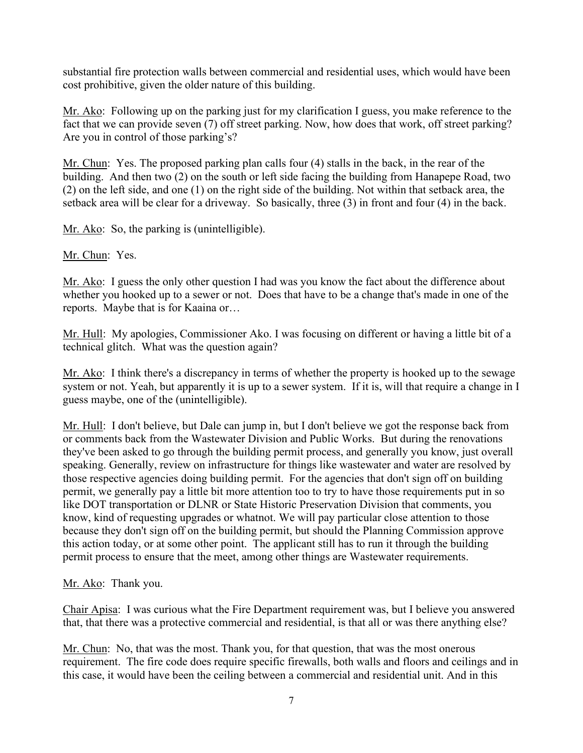substantial fire protection walls between commercial and residential uses, which would have been cost prohibitive, given the older nature of this building.

Mr. Ako: Following up on the parking just for my clarification I guess, you make reference to the fact that we can provide seven (7) off street parking. Now, how does that work, off street parking? Are you in control of those parking's?

Mr. Chun: Yes. The proposed parking plan calls four (4) stalls in the back, in the rear of the building. And then two (2) on the south or left side facing the building from Hanapepe Road, two (2) on the left side, and one (1) on the right side of the building. Not within that setback area, the setback area will be clear for a driveway. So basically, three (3) in front and four (4) in the back.

Mr. Ako: So, the parking is (unintelligible).

Mr. Chun: Yes.

Mr. Ako: I guess the only other question I had was you know the fact about the difference about whether you hooked up to a sewer or not. Does that have to be a change that's made in one of the reports. Maybe that is for Kaaina or…

Mr. Hull: My apologies, Commissioner Ako. I was focusing on different or having a little bit of a technical glitch. What was the question again?

Mr. Ako: I think there's a discrepancy in terms of whether the property is hooked up to the sewage system or not. Yeah, but apparently it is up to a sewer system. If it is, will that require a change in I guess maybe, one of the (unintelligible).

Mr. Hull: I don't believe, but Dale can jump in, but I don't believe we got the response back from or comments back from the Wastewater Division and Public Works. But during the renovations they've been asked to go through the building permit process, and generally you know, just overall speaking. Generally, review on infrastructure for things like wastewater and water are resolved by those respective agencies doing building permit. For the agencies that don't sign off on building permit, we generally pay a little bit more attention too to try to have those requirements put in so like DOT transportation or DLNR or State Historic Preservation Division that comments, you know, kind of requesting upgrades or whatnot. We will pay particular close attention to those because they don't sign off on the building permit, but should the Planning Commission approve this action today, or at some other point. The applicant still has to run it through the building permit process to ensure that the meet, among other things are Wastewater requirements.

Mr. Ako: Thank you.

Chair Apisa: I was curious what the Fire Department requirement was, but I believe you answered that, that there was a protective commercial and residential, is that all or was there anything else?

Mr. Chun: No, that was the most. Thank you, for that question, that was the most onerous requirement. The fire code does require specific firewalls, both walls and floors and ceilings and in this case, it would have been the ceiling between a commercial and residential unit. And in this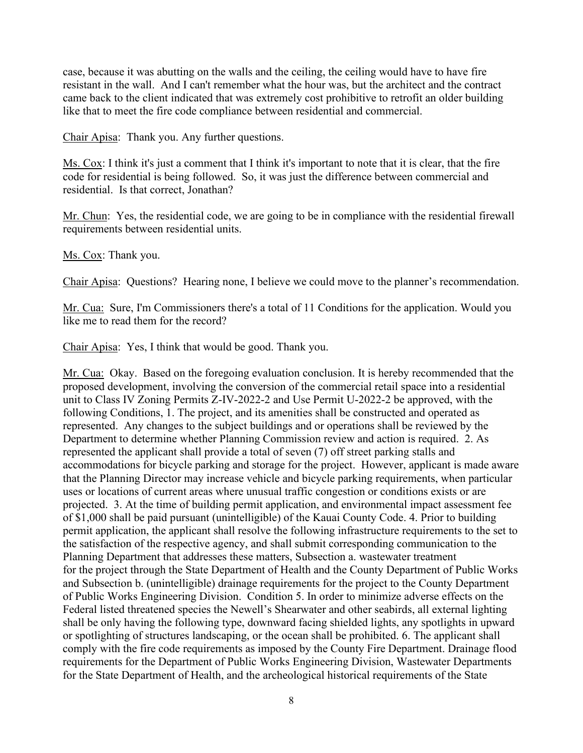case, because it was abutting on the walls and the ceiling, the ceiling would have to have fire resistant in the wall. And I can't remember what the hour was, but the architect and the contract came back to the client indicated that was extremely cost prohibitive to retrofit an older building like that to meet the fire code compliance between residential and commercial.

Chair Apisa: Thank you. Any further questions.

Ms. Cox: I think it's just a comment that I think it's important to note that it is clear, that the fire code for residential is being followed. So, it was just the difference between commercial and residential. Is that correct, Jonathan?

Mr. Chun: Yes, the residential code, we are going to be in compliance with the residential firewall requirements between residential units.

Ms. Cox: Thank you.

Chair Apisa: Questions? Hearing none, I believe we could move to the planner's recommendation.

Mr. Cua: Sure, I'm Commissioners there's a total of 11 Conditions for the application. Would you like me to read them for the record?

Chair Apisa: Yes, I think that would be good. Thank you.

Mr. Cua: Okay. Based on the foregoing evaluation conclusion. It is hereby recommended that the proposed development, involving the conversion of the commercial retail space into a residential unit to Class IV Zoning Permits Z-IV-2022-2 and Use Permit U-2022-2 be approved, with the following Conditions, 1. The project, and its amenities shall be constructed and operated as represented. Any changes to the subject buildings and or operations shall be reviewed by the Department to determine whether Planning Commission review and action is required. 2. As represented the applicant shall provide a total of seven (7) off street parking stalls and accommodations for bicycle parking and storage for the project. However, applicant is made aware that the Planning Director may increase vehicle and bicycle parking requirements, when particular uses or locations of current areas where unusual traffic congestion or conditions exists or are projected. 3. At the time of building permit application, and environmental impact assessment fee of \$1,000 shall be paid pursuant (unintelligible) of the Kauai County Code. 4. Prior to building permit application, the applicant shall resolve the following infrastructure requirements to the set to the satisfaction of the respective agency, and shall submit corresponding communication to the Planning Department that addresses these matters, Subsection a. wastewater treatment for the project through the State Department of Health and the County Department of Public Works and Subsection b. (unintelligible) drainage requirements for the project to the County Department of Public Works Engineering Division. Condition 5. In order to minimize adverse effects on the Federal listed threatened species the Newell's Shearwater and other seabirds, all external lighting shall be only having the following type, downward facing shielded lights, any spotlights in upward or spotlighting of structures landscaping, or the ocean shall be prohibited. 6. The applicant shall comply with the fire code requirements as imposed by the County Fire Department. Drainage flood requirements for the Department of Public Works Engineering Division, Wastewater Departments for the State Department of Health, and the archeological historical requirements of the State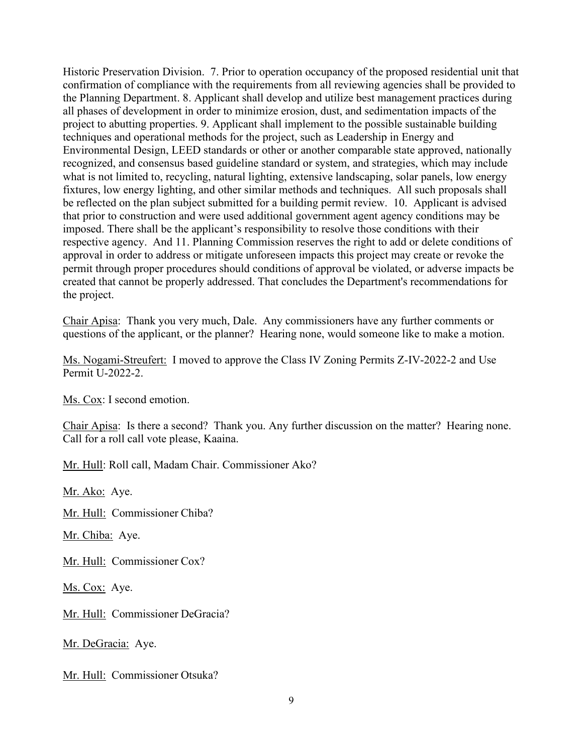Historic Preservation Division. 7. Prior to operation occupancy of the proposed residential unit that confirmation of compliance with the requirements from all reviewing agencies shall be provided to the Planning Department. 8. Applicant shall develop and utilize best management practices during all phases of development in order to minimize erosion, dust, and sedimentation impacts of the project to abutting properties. 9. Applicant shall implement to the possible sustainable building techniques and operational methods for the project, such as Leadership in Energy and Environmental Design, LEED standards or other or another comparable state approved, nationally recognized, and consensus based guideline standard or system, and strategies, which may include what is not limited to, recycling, natural lighting, extensive landscaping, solar panels, low energy fixtures, low energy lighting, and other similar methods and techniques. All such proposals shall be reflected on the plan subject submitted for a building permit review. 10. Applicant is advised that prior to construction and were used additional government agent agency conditions may be imposed. There shall be the applicant's responsibility to resolve those conditions with their respective agency. And 11. Planning Commission reserves the right to add or delete conditions of approval in order to address or mitigate unforeseen impacts this project may create or revoke the permit through proper procedures should conditions of approval be violated, or adverse impacts be created that cannot be properly addressed. That concludes the Department's recommendations for the project.

Chair Apisa: Thank you very much, Dale. Any commissioners have any further comments or questions of the applicant, or the planner? Hearing none, would someone like to make a motion.

Ms. Nogami-Streufert: I moved to approve the Class IV Zoning Permits Z-IV-2022-2 and Use Permit U-2022-2.

Ms. Cox: I second emotion.

Chair Apisa: Is there a second? Thank you. Any further discussion on the matter? Hearing none. Call for a roll call vote please, Kaaina.

Mr. Hull: Roll call, Madam Chair. Commissioner Ako?

Mr. Ako: Aye.

Mr. Hull: Commissioner Chiba?

Mr. Chiba: Aye.

Mr. Hull: Commissioner Cox?

Ms. Cox: Aye.

Mr. Hull: Commissioner DeGracia?

Mr. DeGracia: Aye.

Mr. Hull: Commissioner Otsuka?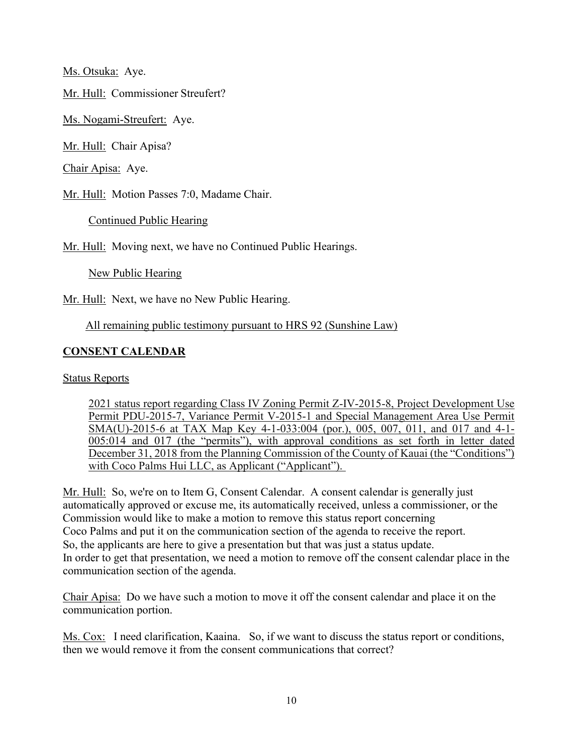Ms. Otsuka: Aye.

Mr. Hull: Commissioner Streufert?

Ms. Nogami-Streufert: Aye.

Mr. Hull: Chair Apisa?

Chair Apisa: Aye.

Mr. Hull: Motion Passes 7:0, Madame Chair.

Continued Public Hearing

Mr. Hull: Moving next, we have no Continued Public Hearings.

New Public Hearing

Mr. Hull: Next, we have no New Public Hearing.

All remaining public testimony pursuant to HRS 92 (Sunshine Law)

# **CONSENT CALENDAR**

Status Reports

2021 status report regarding Class IV Zoning Permit Z-IV-2015-8, Project Development Use Permit PDU-2015-7, Variance Permit V-2015-1 and Special Management Area Use Permit SMA(U)-2015-6 at TAX Map Key 4-1-033:004 (por.), 005, 007, 011, and 017 and 4-1- 005:014 and 017 (the "permits"), with approval conditions as set forth in letter dated December 31, 2018 from the Planning Commission of the County of Kauai (the "Conditions") with Coco Palms Hui LLC, as Applicant ("Applicant").

Mr. Hull: So, we're on to Item G, Consent Calendar. A consent calendar is generally just automatically approved or excuse me, its automatically received, unless a commissioner, or the Commission would like to make a motion to remove this status report concerning Coco Palms and put it on the communication section of the agenda to receive the report. So, the applicants are here to give a presentation but that was just a status update. In order to get that presentation, we need a motion to remove off the consent calendar place in the communication section of the agenda.

Chair Apisa: Do we have such a motion to move it off the consent calendar and place it on the communication portion.

Ms. Cox: I need clarification, Kaaina. So, if we want to discuss the status report or conditions, then we would remove it from the consent communications that correct?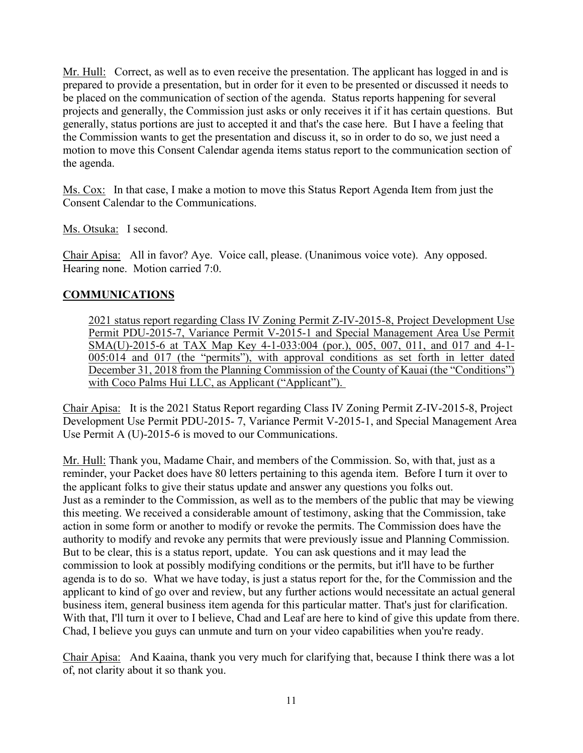Mr. Hull: Correct, as well as to even receive the presentation. The applicant has logged in and is prepared to provide a presentation, but in order for it even to be presented or discussed it needs to be placed on the communication of section of the agenda. Status reports happening for several projects and generally, the Commission just asks or only receives it if it has certain questions. But generally, status portions are just to accepted it and that's the case here. But I have a feeling that the Commission wants to get the presentation and discuss it, so in order to do so, we just need a motion to move this Consent Calendar agenda items status report to the communication section of the agenda.

Ms. Cox: In that case, I make a motion to move this Status Report Agenda Item from just the Consent Calendar to the Communications.

Ms. Otsuka: I second.

Chair Apisa: All in favor? Aye. Voice call, please. (Unanimous voice vote). Any opposed. Hearing none. Motion carried 7:0.

# **COMMUNICATIONS**

2021 status report regarding Class IV Zoning Permit Z-IV-2015-8, Project Development Use Permit PDU-2015-7, Variance Permit V-2015-1 and Special Management Area Use Permit SMA(U)-2015-6 at TAX Map Key 4-1-033:004 (por.), 005, 007, 011, and 017 and 4-1- 005:014 and 017 (the "permits"), with approval conditions as set forth in letter dated December 31, 2018 from the Planning Commission of the County of Kauai (the "Conditions") with Coco Palms Hui LLC, as Applicant ("Applicant").

Chair Apisa: It is the 2021 Status Report regarding Class IV Zoning Permit Z-IV-2015-8, Project Development Use Permit PDU-2015- 7, Variance Permit V-2015-1, and Special Management Area Use Permit A (U)-2015-6 is moved to our Communications.

Mr. Hull: Thank you, Madame Chair, and members of the Commission. So, with that, just as a reminder, your Packet does have 80 letters pertaining to this agenda item. Before I turn it over to the applicant folks to give their status update and answer any questions you folks out. Just as a reminder to the Commission, as well as to the members of the public that may be viewing this meeting. We received a considerable amount of testimony, asking that the Commission, take action in some form or another to modify or revoke the permits. The Commission does have the authority to modify and revoke any permits that were previously issue and Planning Commission. But to be clear, this is a status report, update. You can ask questions and it may lead the commission to look at possibly modifying conditions or the permits, but it'll have to be further agenda is to do so. What we have today, is just a status report for the, for the Commission and the applicant to kind of go over and review, but any further actions would necessitate an actual general business item, general business item agenda for this particular matter. That's just for clarification. With that, I'll turn it over to I believe, Chad and Leaf are here to kind of give this update from there. Chad, I believe you guys can unmute and turn on your video capabilities when you're ready.

Chair Apisa: And Kaaina, thank you very much for clarifying that, because I think there was a lot of, not clarity about it so thank you.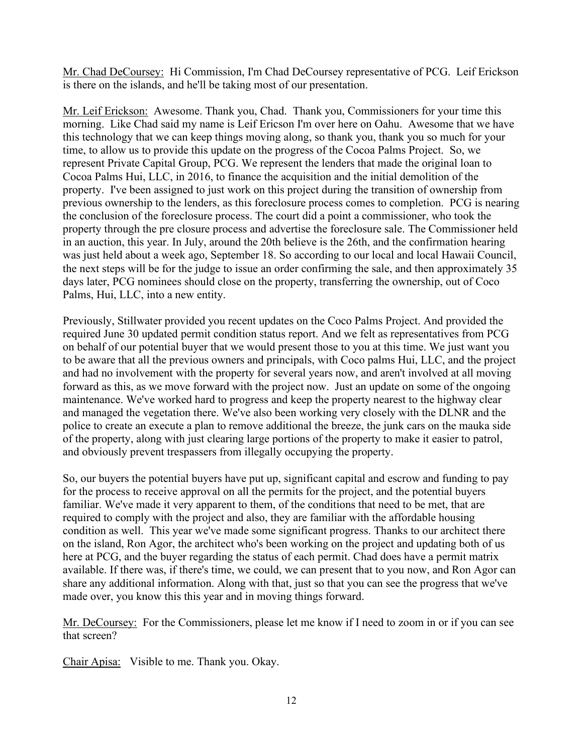Mr. Chad DeCoursey: Hi Commission, I'm Chad DeCoursey representative of PCG. Leif Erickson is there on the islands, and he'll be taking most of our presentation.

Mr. Leif Erickson: Awesome. Thank you, Chad. Thank you, Commissioners for your time this morning. Like Chad said my name is Leif Ericson I'm over here on Oahu. Awesome that we have this technology that we can keep things moving along, so thank you, thank you so much for your time, to allow us to provide this update on the progress of the Cocoa Palms Project. So, we represent Private Capital Group, PCG. We represent the lenders that made the original loan to Cocoa Palms Hui, LLC, in 2016, to finance the acquisition and the initial demolition of the property. I've been assigned to just work on this project during the transition of ownership from previous ownership to the lenders, as this foreclosure process comes to completion. PCG is nearing the conclusion of the foreclosure process. The court did a point a commissioner, who took the property through the pre closure process and advertise the foreclosure sale. The Commissioner held in an auction, this year. In July, around the 20th believe is the 26th, and the confirmation hearing was just held about a week ago, September 18. So according to our local and local Hawaii Council, the next steps will be for the judge to issue an order confirming the sale, and then approximately 35 days later, PCG nominees should close on the property, transferring the ownership, out of Coco Palms, Hui, LLC, into a new entity.

Previously, Stillwater provided you recent updates on the Coco Palms Project. And provided the required June 30 updated permit condition status report. And we felt as representatives from PCG on behalf of our potential buyer that we would present those to you at this time. We just want you to be aware that all the previous owners and principals, with Coco palms Hui, LLC, and the project and had no involvement with the property for several years now, and aren't involved at all moving forward as this, as we move forward with the project now. Just an update on some of the ongoing maintenance. We've worked hard to progress and keep the property nearest to the highway clear and managed the vegetation there. We've also been working very closely with the DLNR and the police to create an execute a plan to remove additional the breeze, the junk cars on the mauka side of the property, along with just clearing large portions of the property to make it easier to patrol, and obviously prevent trespassers from illegally occupying the property.

So, our buyers the potential buyers have put up, significant capital and escrow and funding to pay for the process to receive approval on all the permits for the project, and the potential buyers familiar. We've made it very apparent to them, of the conditions that need to be met, that are required to comply with the project and also, they are familiar with the affordable housing condition as well. This year we've made some significant progress. Thanks to our architect there on the island, Ron Agor, the architect who's been working on the project and updating both of us here at PCG, and the buyer regarding the status of each permit. Chad does have a permit matrix available. If there was, if there's time, we could, we can present that to you now, and Ron Agor can share any additional information. Along with that, just so that you can see the progress that we've made over, you know this this year and in moving things forward.

Mr. DeCoursey: For the Commissioners, please let me know if I need to zoom in or if you can see that screen?

Chair Apisa: Visible to me. Thank you. Okay.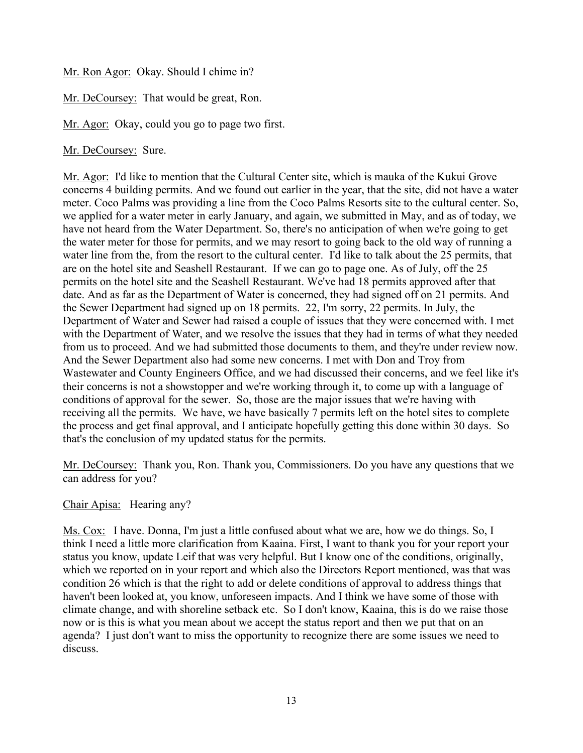Mr. Ron Agor: Okay. Should I chime in?

Mr. DeCoursey: That would be great, Ron.

Mr. Agor: Okay, could you go to page two first.

Mr. DeCoursey: Sure.

Mr. Agor: I'd like to mention that the Cultural Center site, which is mauka of the Kukui Grove concerns 4 building permits. And we found out earlier in the year, that the site, did not have a water meter. Coco Palms was providing a line from the Coco Palms Resorts site to the cultural center. So, we applied for a water meter in early January, and again, we submitted in May, and as of today, we have not heard from the Water Department. So, there's no anticipation of when we're going to get the water meter for those for permits, and we may resort to going back to the old way of running a water line from the, from the resort to the cultural center. I'd like to talk about the 25 permits, that are on the hotel site and Seashell Restaurant. If we can go to page one. As of July, off the 25 permits on the hotel site and the Seashell Restaurant. We've had 18 permits approved after that date. And as far as the Department of Water is concerned, they had signed off on 21 permits. And the Sewer Department had signed up on 18 permits. 22, I'm sorry, 22 permits. In July, the Department of Water and Sewer had raised a couple of issues that they were concerned with. I met with the Department of Water, and we resolve the issues that they had in terms of what they needed from us to proceed. And we had submitted those documents to them, and they're under review now. And the Sewer Department also had some new concerns. I met with Don and Troy from Wastewater and County Engineers Office, and we had discussed their concerns, and we feel like it's their concerns is not a showstopper and we're working through it, to come up with a language of conditions of approval for the sewer. So, those are the major issues that we're having with receiving all the permits. We have, we have basically 7 permits left on the hotel sites to complete the process and get final approval, and I anticipate hopefully getting this done within 30 days. So that's the conclusion of my updated status for the permits.

Mr. DeCoursey: Thank you, Ron. Thank you, Commissioners. Do you have any questions that we can address for you?

Chair Apisa: Hearing any?

Ms. Cox: I have. Donna, I'm just a little confused about what we are, how we do things. So, I think I need a little more clarification from Kaaina. First, I want to thank you for your report your status you know, update Leif that was very helpful. But I know one of the conditions, originally, which we reported on in your report and which also the Directors Report mentioned, was that was condition 26 which is that the right to add or delete conditions of approval to address things that haven't been looked at, you know, unforeseen impacts. And I think we have some of those with climate change, and with shoreline setback etc. So I don't know, Kaaina, this is do we raise those now or is this is what you mean about we accept the status report and then we put that on an agenda? I just don't want to miss the opportunity to recognize there are some issues we need to discuss.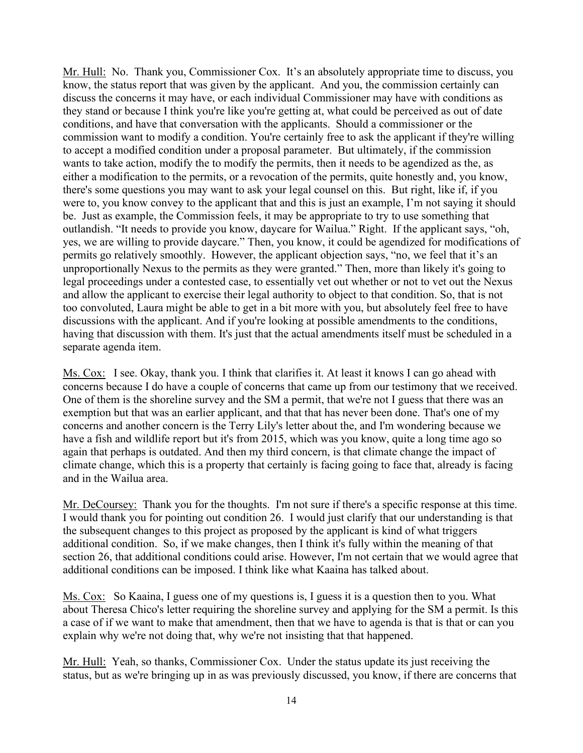Mr. Hull: No. Thank you, Commissioner Cox. It's an absolutely appropriate time to discuss, you know, the status report that was given by the applicant. And you, the commission certainly can discuss the concerns it may have, or each individual Commissioner may have with conditions as they stand or because I think you're like you're getting at, what could be perceived as out of date conditions, and have that conversation with the applicants. Should a commissioner or the commission want to modify a condition. You're certainly free to ask the applicant if they're willing to accept a modified condition under a proposal parameter. But ultimately, if the commission wants to take action, modify the to modify the permits, then it needs to be agendized as the, as either a modification to the permits, or a revocation of the permits, quite honestly and, you know, there's some questions you may want to ask your legal counsel on this. But right, like if, if you were to, you know convey to the applicant that and this is just an example, I'm not saying it should be. Just as example, the Commission feels, it may be appropriate to try to use something that outlandish. "It needs to provide you know, daycare for Wailua." Right. If the applicant says, "oh, yes, we are willing to provide daycare." Then, you know, it could be agendized for modifications of permits go relatively smoothly. However, the applicant objection says, "no, we feel that it's an unproportionally Nexus to the permits as they were granted." Then, more than likely it's going to legal proceedings under a contested case, to essentially vet out whether or not to vet out the Nexus and allow the applicant to exercise their legal authority to object to that condition. So, that is not too convoluted, Laura might be able to get in a bit more with you, but absolutely feel free to have discussions with the applicant. And if you're looking at possible amendments to the conditions, having that discussion with them. It's just that the actual amendments itself must be scheduled in a separate agenda item.

Ms. Cox: I see. Okay, thank you. I think that clarifies it. At least it knows I can go ahead with concerns because I do have a couple of concerns that came up from our testimony that we received. One of them is the shoreline survey and the SM a permit, that we're not I guess that there was an exemption but that was an earlier applicant, and that that has never been done. That's one of my concerns and another concern is the Terry Lily's letter about the, and I'm wondering because we have a fish and wildlife report but it's from 2015, which was you know, quite a long time ago so again that perhaps is outdated. And then my third concern, is that climate change the impact of climate change, which this is a property that certainly is facing going to face that, already is facing and in the Wailua area.

Mr. DeCoursey: Thank you for the thoughts. I'm not sure if there's a specific response at this time. I would thank you for pointing out condition 26. I would just clarify that our understanding is that the subsequent changes to this project as proposed by the applicant is kind of what triggers additional condition. So, if we make changes, then I think it's fully within the meaning of that section 26, that additional conditions could arise. However, I'm not certain that we would agree that additional conditions can be imposed. I think like what Kaaina has talked about.

Ms. Cox: So Kaaina, I guess one of my questions is, I guess it is a question then to you. What about Theresa Chico's letter requiring the shoreline survey and applying for the SM a permit. Is this a case of if we want to make that amendment, then that we have to agenda is that is that or can you explain why we're not doing that, why we're not insisting that that happened.

Mr. Hull: Yeah, so thanks, Commissioner Cox. Under the status update its just receiving the status, but as we're bringing up in as was previously discussed, you know, if there are concerns that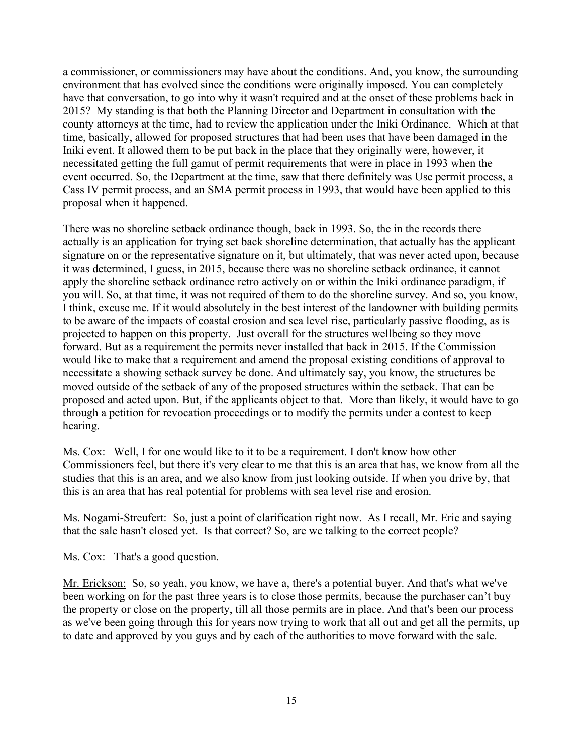a commissioner, or commissioners may have about the conditions. And, you know, the surrounding environment that has evolved since the conditions were originally imposed. You can completely have that conversation, to go into why it wasn't required and at the onset of these problems back in 2015? My standing is that both the Planning Director and Department in consultation with the county attorneys at the time, had to review the application under the Iniki Ordinance. Which at that time, basically, allowed for proposed structures that had been uses that have been damaged in the Iniki event. It allowed them to be put back in the place that they originally were, however, it necessitated getting the full gamut of permit requirements that were in place in 1993 when the event occurred. So, the Department at the time, saw that there definitely was Use permit process, a Cass IV permit process, and an SMA permit process in 1993, that would have been applied to this proposal when it happened.

There was no shoreline setback ordinance though, back in 1993. So, the in the records there actually is an application for trying set back shoreline determination, that actually has the applicant signature on or the representative signature on it, but ultimately, that was never acted upon, because it was determined, I guess, in 2015, because there was no shoreline setback ordinance, it cannot apply the shoreline setback ordinance retro actively on or within the Iniki ordinance paradigm, if you will. So, at that time, it was not required of them to do the shoreline survey. And so, you know, I think, excuse me. If it would absolutely in the best interest of the landowner with building permits to be aware of the impacts of coastal erosion and sea level rise, particularly passive flooding, as is projected to happen on this property. Just overall for the structures wellbeing so they move forward. But as a requirement the permits never installed that back in 2015. If the Commission would like to make that a requirement and amend the proposal existing conditions of approval to necessitate a showing setback survey be done. And ultimately say, you know, the structures be moved outside of the setback of any of the proposed structures within the setback. That can be proposed and acted upon. But, if the applicants object to that. More than likely, it would have to go through a petition for revocation proceedings or to modify the permits under a contest to keep hearing.

Ms. Cox: Well, I for one would like to it to be a requirement. I don't know how other Commissioners feel, but there it's very clear to me that this is an area that has, we know from all the studies that this is an area, and we also know from just looking outside. If when you drive by, that this is an area that has real potential for problems with sea level rise and erosion.

Ms. Nogami-Streufert: So, just a point of clarification right now. As I recall, Mr. Eric and saying that the sale hasn't closed yet. Is that correct? So, are we talking to the correct people?

Ms. Cox: That's a good question.

Mr. Erickson: So, so yeah, you know, we have a, there's a potential buyer. And that's what we've been working on for the past three years is to close those permits, because the purchaser can't buy the property or close on the property, till all those permits are in place. And that's been our process as we've been going through this for years now trying to work that all out and get all the permits, up to date and approved by you guys and by each of the authorities to move forward with the sale.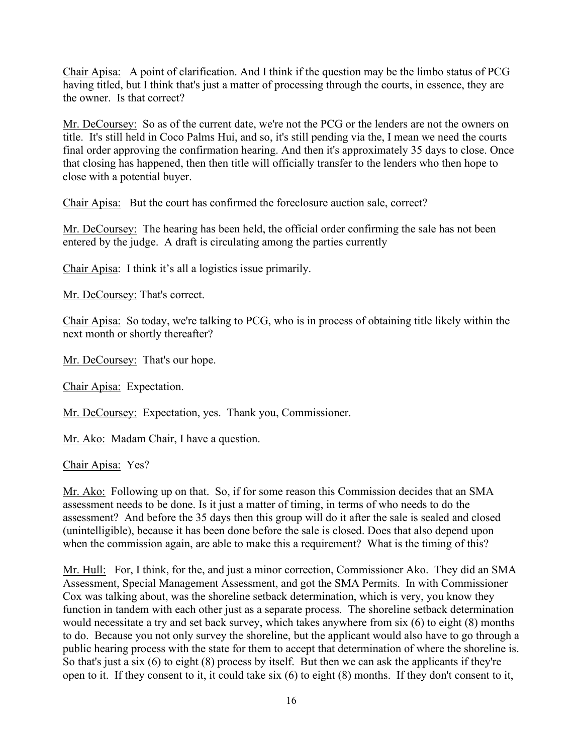Chair Apisa: A point of clarification. And I think if the question may be the limbo status of PCG having titled, but I think that's just a matter of processing through the courts, in essence, they are the owner. Is that correct?

Mr. DeCoursey: So as of the current date, we're not the PCG or the lenders are not the owners on title. It's still held in Coco Palms Hui, and so, it's still pending via the, I mean we need the courts final order approving the confirmation hearing. And then it's approximately 35 days to close. Once that closing has happened, then then title will officially transfer to the lenders who then hope to close with a potential buyer.

Chair Apisa: But the court has confirmed the foreclosure auction sale, correct?

Mr. DeCoursey: The hearing has been held, the official order confirming the sale has not been entered by the judge. A draft is circulating among the parties currently

Chair Apisa: I think it's all a logistics issue primarily.

Mr. DeCoursey: That's correct.

Chair Apisa: So today, we're talking to PCG, who is in process of obtaining title likely within the next month or shortly thereafter?

Mr. DeCoursey: That's our hope.

Chair Apisa: Expectation.

Mr. DeCoursey: Expectation, yes. Thank you, Commissioner.

Mr. Ako: Madam Chair, I have a question.

Chair Apisa: Yes?

Mr. Ako: Following up on that. So, if for some reason this Commission decides that an SMA assessment needs to be done. Is it just a matter of timing, in terms of who needs to do the assessment? And before the 35 days then this group will do it after the sale is sealed and closed (unintelligible), because it has been done before the sale is closed. Does that also depend upon when the commission again, are able to make this a requirement? What is the timing of this?

Mr. Hull: For, I think, for the, and just a minor correction, Commissioner Ako. They did an SMA Assessment, Special Management Assessment, and got the SMA Permits. In with Commissioner Cox was talking about, was the shoreline setback determination, which is very, you know they function in tandem with each other just as a separate process. The shoreline setback determination would necessitate a try and set back survey, which takes anywhere from six (6) to eight (8) months to do. Because you not only survey the shoreline, but the applicant would also have to go through a public hearing process with the state for them to accept that determination of where the shoreline is. So that's just a six (6) to eight (8) process by itself. But then we can ask the applicants if they're open to it. If they consent to it, it could take six (6) to eight (8) months. If they don't consent to it,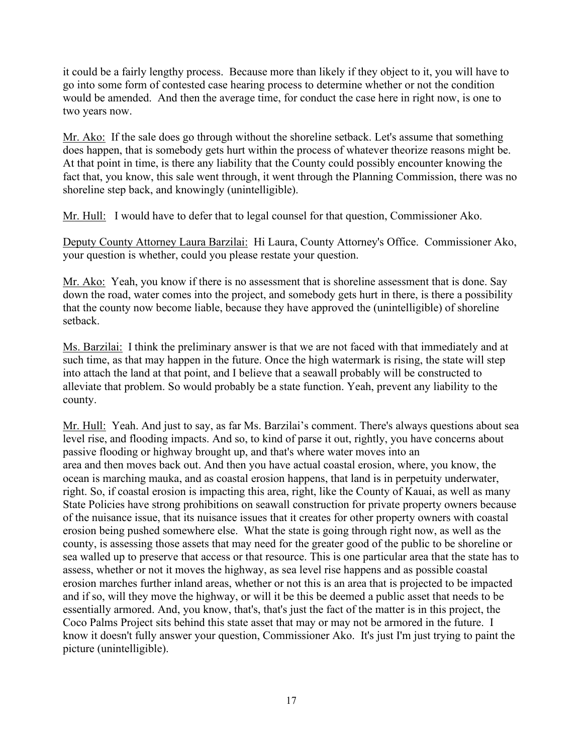it could be a fairly lengthy process. Because more than likely if they object to it, you will have to go into some form of contested case hearing process to determine whether or not the condition would be amended. And then the average time, for conduct the case here in right now, is one to two years now.

Mr. Ako: If the sale does go through without the shoreline setback. Let's assume that something does happen, that is somebody gets hurt within the process of whatever theorize reasons might be. At that point in time, is there any liability that the County could possibly encounter knowing the fact that, you know, this sale went through, it went through the Planning Commission, there was no shoreline step back, and knowingly (unintelligible).

Mr. Hull: I would have to defer that to legal counsel for that question, Commissioner Ako.

Deputy County Attorney Laura Barzilai: Hi Laura, County Attorney's Office. Commissioner Ako, your question is whether, could you please restate your question.

Mr. Ako: Yeah, you know if there is no assessment that is shoreline assessment that is done. Say down the road, water comes into the project, and somebody gets hurt in there, is there a possibility that the county now become liable, because they have approved the (unintelligible) of shoreline setback.

Ms. Barzilai: I think the preliminary answer is that we are not faced with that immediately and at such time, as that may happen in the future. Once the high watermark is rising, the state will step into attach the land at that point, and I believe that a seawall probably will be constructed to alleviate that problem. So would probably be a state function. Yeah, prevent any liability to the county.

Mr. Hull: Yeah. And just to say, as far Ms. Barzilai's comment. There's always questions about sea level rise, and flooding impacts. And so, to kind of parse it out, rightly, you have concerns about passive flooding or highway brought up, and that's where water moves into an area and then moves back out. And then you have actual coastal erosion, where, you know, the ocean is marching mauka, and as coastal erosion happens, that land is in perpetuity underwater, right. So, if coastal erosion is impacting this area, right, like the County of Kauai, as well as many State Policies have strong prohibitions on seawall construction for private property owners because of the nuisance issue, that its nuisance issues that it creates for other property owners with coastal erosion being pushed somewhere else. What the state is going through right now, as well as the county, is assessing those assets that may need for the greater good of the public to be shoreline or sea walled up to preserve that access or that resource. This is one particular area that the state has to assess, whether or not it moves the highway, as sea level rise happens and as possible coastal erosion marches further inland areas, whether or not this is an area that is projected to be impacted and if so, will they move the highway, or will it be this be deemed a public asset that needs to be essentially armored. And, you know, that's, that's just the fact of the matter is in this project, the Coco Palms Project sits behind this state asset that may or may not be armored in the future. I know it doesn't fully answer your question, Commissioner Ako. It's just I'm just trying to paint the picture (unintelligible).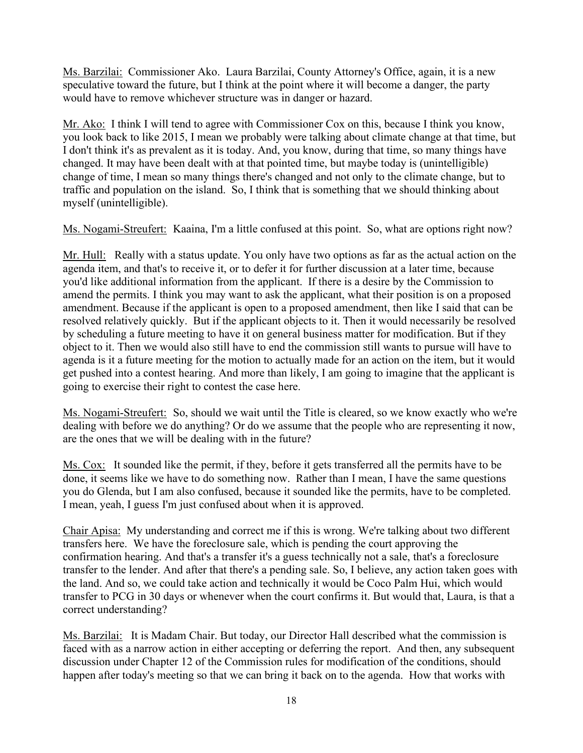Ms. Barzilai: Commissioner Ako. Laura Barzilai, County Attorney's Office, again, it is a new speculative toward the future, but I think at the point where it will become a danger, the party would have to remove whichever structure was in danger or hazard.

Mr. Ako: I think I will tend to agree with Commissioner Cox on this, because I think you know, you look back to like 2015, I mean we probably were talking about climate change at that time, but I don't think it's as prevalent as it is today. And, you know, during that time, so many things have changed. It may have been dealt with at that pointed time, but maybe today is (unintelligible) change of time, I mean so many things there's changed and not only to the climate change, but to traffic and population on the island. So, I think that is something that we should thinking about myself (unintelligible).

Ms. Nogami-Streufert: Kaaina, I'm a little confused at this point. So, what are options right now?

Mr. Hull: Really with a status update. You only have two options as far as the actual action on the agenda item, and that's to receive it, or to defer it for further discussion at a later time, because you'd like additional information from the applicant. If there is a desire by the Commission to amend the permits. I think you may want to ask the applicant, what their position is on a proposed amendment. Because if the applicant is open to a proposed amendment, then like I said that can be resolved relatively quickly. But if the applicant objects to it. Then it would necessarily be resolved by scheduling a future meeting to have it on general business matter for modification. But if they object to it. Then we would also still have to end the commission still wants to pursue will have to agenda is it a future meeting for the motion to actually made for an action on the item, but it would get pushed into a contest hearing. And more than likely, I am going to imagine that the applicant is going to exercise their right to contest the case here.

Ms. Nogami-Streufert: So, should we wait until the Title is cleared, so we know exactly who we're dealing with before we do anything? Or do we assume that the people who are representing it now, are the ones that we will be dealing with in the future?

Ms. Cox: It sounded like the permit, if they, before it gets transferred all the permits have to be done, it seems like we have to do something now. Rather than I mean, I have the same questions you do Glenda, but I am also confused, because it sounded like the permits, have to be completed. I mean, yeah, I guess I'm just confused about when it is approved.

Chair Apisa: My understanding and correct me if this is wrong. We're talking about two different transfers here. We have the foreclosure sale, which is pending the court approving the confirmation hearing. And that's a transfer it's a guess technically not a sale, that's a foreclosure transfer to the lender. And after that there's a pending sale. So, I believe, any action taken goes with the land. And so, we could take action and technically it would be Coco Palm Hui, which would transfer to PCG in 30 days or whenever when the court confirms it. But would that, Laura, is that a correct understanding?

Ms. Barzilai: It is Madam Chair. But today, our Director Hall described what the commission is faced with as a narrow action in either accepting or deferring the report. And then, any subsequent discussion under Chapter 12 of the Commission rules for modification of the conditions, should happen after today's meeting so that we can bring it back on to the agenda. How that works with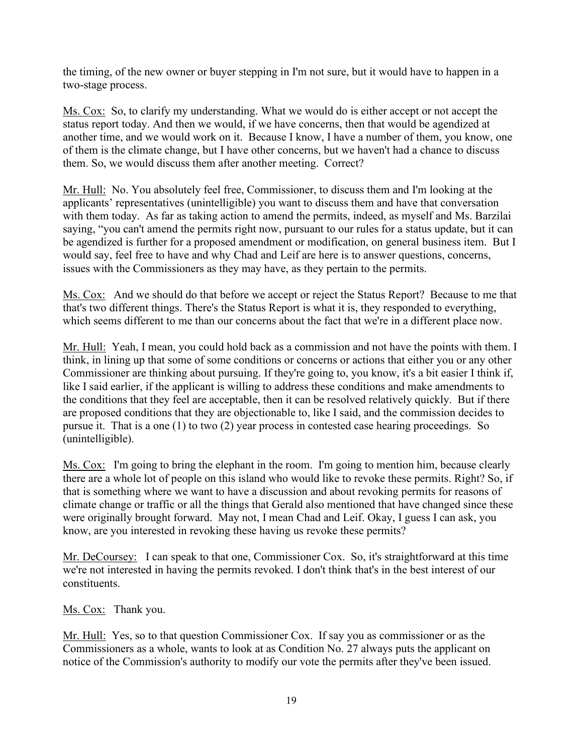the timing, of the new owner or buyer stepping in I'm not sure, but it would have to happen in a two-stage process.

Ms. Cox: So, to clarify my understanding. What we would do is either accept or not accept the status report today. And then we would, if we have concerns, then that would be agendized at another time, and we would work on it. Because I know, I have a number of them, you know, one of them is the climate change, but I have other concerns, but we haven't had a chance to discuss them. So, we would discuss them after another meeting. Correct?

Mr. Hull: No. You absolutely feel free, Commissioner, to discuss them and I'm looking at the applicants' representatives (unintelligible) you want to discuss them and have that conversation with them today. As far as taking action to amend the permits, indeed, as myself and Ms. Barzilai saying, "you can't amend the permits right now, pursuant to our rules for a status update, but it can be agendized is further for a proposed amendment or modification, on general business item. But I would say, feel free to have and why Chad and Leif are here is to answer questions, concerns, issues with the Commissioners as they may have, as they pertain to the permits.

Ms. Cox: And we should do that before we accept or reject the Status Report? Because to me that that's two different things. There's the Status Report is what it is, they responded to everything, which seems different to me than our concerns about the fact that we're in a different place now.

Mr. Hull: Yeah, I mean, you could hold back as a commission and not have the points with them. I think, in lining up that some of some conditions or concerns or actions that either you or any other Commissioner are thinking about pursuing. If they're going to, you know, it's a bit easier I think if, like I said earlier, if the applicant is willing to address these conditions and make amendments to the conditions that they feel are acceptable, then it can be resolved relatively quickly. But if there are proposed conditions that they are objectionable to, like I said, and the commission decides to pursue it. That is a one (1) to two (2) year process in contested case hearing proceedings. So (unintelligible).

Ms. Cox: I'm going to bring the elephant in the room. I'm going to mention him, because clearly there are a whole lot of people on this island who would like to revoke these permits. Right? So, if that is something where we want to have a discussion and about revoking permits for reasons of climate change or traffic or all the things that Gerald also mentioned that have changed since these were originally brought forward. May not, I mean Chad and Leif. Okay, I guess I can ask, you know, are you interested in revoking these having us revoke these permits?

Mr. DeCoursey: I can speak to that one, Commissioner Cox. So, it's straightforward at this time we're not interested in having the permits revoked. I don't think that's in the best interest of our constituents.

Ms. Cox: Thank you.

Mr. Hull: Yes, so to that question Commissioner Cox. If say you as commissioner or as the Commissioners as a whole, wants to look at as Condition No. 27 always puts the applicant on notice of the Commission's authority to modify our vote the permits after they've been issued.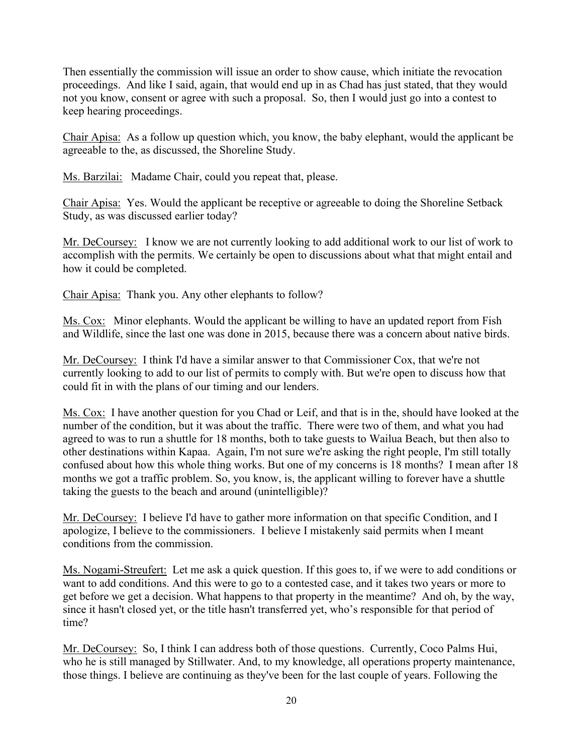Then essentially the commission will issue an order to show cause, which initiate the revocation proceedings. And like I said, again, that would end up in as Chad has just stated, that they would not you know, consent or agree with such a proposal. So, then I would just go into a contest to keep hearing proceedings.

Chair Apisa: As a follow up question which, you know, the baby elephant, would the applicant be agreeable to the, as discussed, the Shoreline Study.

Ms. Barzilai: Madame Chair, could you repeat that, please.

Chair Apisa: Yes. Would the applicant be receptive or agreeable to doing the Shoreline Setback Study, as was discussed earlier today?

Mr. DeCoursey: I know we are not currently looking to add additional work to our list of work to accomplish with the permits. We certainly be open to discussions about what that might entail and how it could be completed.

Chair Apisa: Thank you. Any other elephants to follow?

Ms. Cox: Minor elephants. Would the applicant be willing to have an updated report from Fish and Wildlife, since the last one was done in 2015, because there was a concern about native birds.

Mr. DeCoursey: I think I'd have a similar answer to that Commissioner Cox, that we're not currently looking to add to our list of permits to comply with. But we're open to discuss how that could fit in with the plans of our timing and our lenders.

Ms. Cox: I have another question for you Chad or Leif, and that is in the, should have looked at the number of the condition, but it was about the traffic. There were two of them, and what you had agreed to was to run a shuttle for 18 months, both to take guests to Wailua Beach, but then also to other destinations within Kapaa. Again, I'm not sure we're asking the right people, I'm still totally confused about how this whole thing works. But one of my concerns is 18 months? I mean after 18 months we got a traffic problem. So, you know, is, the applicant willing to forever have a shuttle taking the guests to the beach and around (unintelligible)?

Mr. DeCoursey: I believe I'd have to gather more information on that specific Condition, and I apologize, I believe to the commissioners. I believe I mistakenly said permits when I meant conditions from the commission.

Ms. Nogami-Streufert: Let me ask a quick question. If this goes to, if we were to add conditions or want to add conditions. And this were to go to a contested case, and it takes two years or more to get before we get a decision. What happens to that property in the meantime? And oh, by the way, since it hasn't closed yet, or the title hasn't transferred yet, who's responsible for that period of time?

Mr. DeCoursey: So, I think I can address both of those questions. Currently, Coco Palms Hui, who he is still managed by Stillwater. And, to my knowledge, all operations property maintenance, those things. I believe are continuing as they've been for the last couple of years. Following the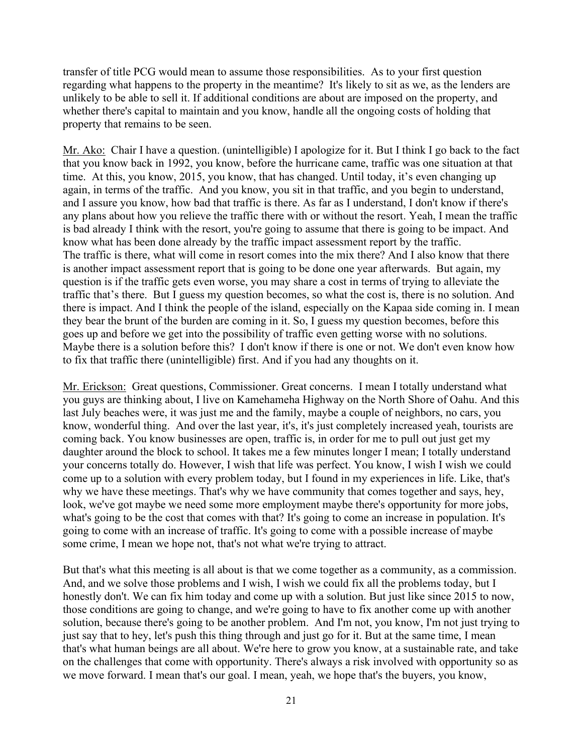transfer of title PCG would mean to assume those responsibilities. As to your first question regarding what happens to the property in the meantime? It's likely to sit as we, as the lenders are unlikely to be able to sell it. If additional conditions are about are imposed on the property, and whether there's capital to maintain and you know, handle all the ongoing costs of holding that property that remains to be seen.

Mr. Ako: Chair I have a question. (unintelligible) I apologize for it. But I think I go back to the fact that you know back in 1992, you know, before the hurricane came, traffic was one situation at that time. At this, you know, 2015, you know, that has changed. Until today, it's even changing up again, in terms of the traffic. And you know, you sit in that traffic, and you begin to understand, and I assure you know, how bad that traffic is there. As far as I understand, I don't know if there's any plans about how you relieve the traffic there with or without the resort. Yeah, I mean the traffic is bad already I think with the resort, you're going to assume that there is going to be impact. And know what has been done already by the traffic impact assessment report by the traffic. The traffic is there, what will come in resort comes into the mix there? And I also know that there is another impact assessment report that is going to be done one year afterwards. But again, my question is if the traffic gets even worse, you may share a cost in terms of trying to alleviate the traffic that's there. But I guess my question becomes, so what the cost is, there is no solution. And there is impact. And I think the people of the island, especially on the Kapaa side coming in. I mean they bear the brunt of the burden are coming in it. So, I guess my question becomes, before this goes up and before we get into the possibility of traffic even getting worse with no solutions. Maybe there is a solution before this? I don't know if there is one or not. We don't even know how to fix that traffic there (unintelligible) first. And if you had any thoughts on it.

Mr. Erickson: Great questions, Commissioner. Great concerns. I mean I totally understand what you guys are thinking about, I live on Kamehameha Highway on the North Shore of Oahu. And this last July beaches were, it was just me and the family, maybe a couple of neighbors, no cars, you know, wonderful thing. And over the last year, it's, it's just completely increased yeah, tourists are coming back. You know businesses are open, traffic is, in order for me to pull out just get my daughter around the block to school. It takes me a few minutes longer I mean; I totally understand your concerns totally do. However, I wish that life was perfect. You know, I wish I wish we could come up to a solution with every problem today, but I found in my experiences in life. Like, that's why we have these meetings. That's why we have community that comes together and says, hey, look, we've got maybe we need some more employment maybe there's opportunity for more jobs, what's going to be the cost that comes with that? It's going to come an increase in population. It's going to come with an increase of traffic. It's going to come with a possible increase of maybe some crime, I mean we hope not, that's not what we're trying to attract.

But that's what this meeting is all about is that we come together as a community, as a commission. And, and we solve those problems and I wish, I wish we could fix all the problems today, but I honestly don't. We can fix him today and come up with a solution. But just like since 2015 to now, those conditions are going to change, and we're going to have to fix another come up with another solution, because there's going to be another problem. And I'm not, you know, I'm not just trying to just say that to hey, let's push this thing through and just go for it. But at the same time, I mean that's what human beings are all about. We're here to grow you know, at a sustainable rate, and take on the challenges that come with opportunity. There's always a risk involved with opportunity so as we move forward. I mean that's our goal. I mean, yeah, we hope that's the buyers, you know,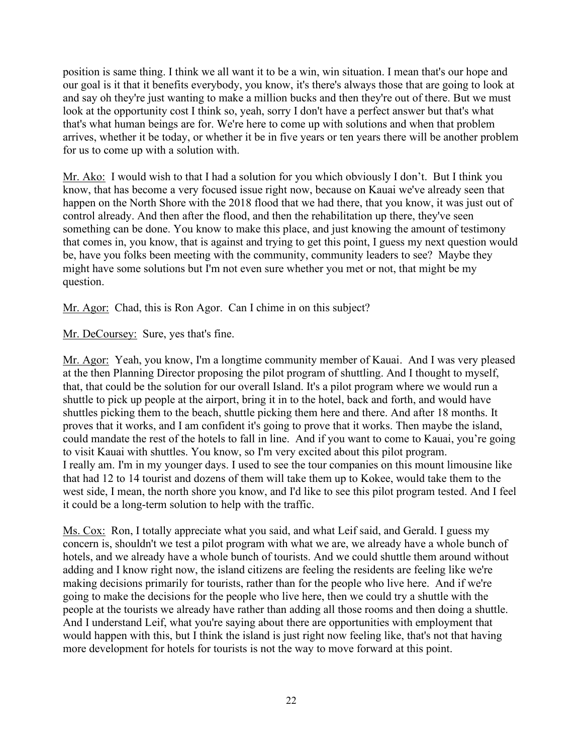position is same thing. I think we all want it to be a win, win situation. I mean that's our hope and our goal is it that it benefits everybody, you know, it's there's always those that are going to look at and say oh they're just wanting to make a million bucks and then they're out of there. But we must look at the opportunity cost I think so, yeah, sorry I don't have a perfect answer but that's what that's what human beings are for. We're here to come up with solutions and when that problem arrives, whether it be today, or whether it be in five years or ten years there will be another problem for us to come up with a solution with.

Mr. Ako: I would wish to that I had a solution for you which obviously I don't. But I think you know, that has become a very focused issue right now, because on Kauai we've already seen that happen on the North Shore with the 2018 flood that we had there, that you know, it was just out of control already. And then after the flood, and then the rehabilitation up there, they've seen something can be done. You know to make this place, and just knowing the amount of testimony that comes in, you know, that is against and trying to get this point, I guess my next question would be, have you folks been meeting with the community, community leaders to see? Maybe they might have some solutions but I'm not even sure whether you met or not, that might be my question.

Mr. Agor: Chad, this is Ron Agor. Can I chime in on this subject?

Mr. DeCoursey: Sure, yes that's fine.

Mr. Agor: Yeah, you know, I'm a longtime community member of Kauai. And I was very pleased at the then Planning Director proposing the pilot program of shuttling. And I thought to myself, that, that could be the solution for our overall Island. It's a pilot program where we would run a shuttle to pick up people at the airport, bring it in to the hotel, back and forth, and would have shuttles picking them to the beach, shuttle picking them here and there. And after 18 months. It proves that it works, and I am confident it's going to prove that it works. Then maybe the island, could mandate the rest of the hotels to fall in line. And if you want to come to Kauai, you're going to visit Kauai with shuttles. You know, so I'm very excited about this pilot program. I really am. I'm in my younger days. I used to see the tour companies on this mount limousine like that had 12 to 14 tourist and dozens of them will take them up to Kokee, would take them to the west side, I mean, the north shore you know, and I'd like to see this pilot program tested. And I feel it could be a long-term solution to help with the traffic.

Ms. Cox: Ron, I totally appreciate what you said, and what Leif said, and Gerald. I guess my concern is, shouldn't we test a pilot program with what we are, we already have a whole bunch of hotels, and we already have a whole bunch of tourists. And we could shuttle them around without adding and I know right now, the island citizens are feeling the residents are feeling like we're making decisions primarily for tourists, rather than for the people who live here. And if we're going to make the decisions for the people who live here, then we could try a shuttle with the people at the tourists we already have rather than adding all those rooms and then doing a shuttle. And I understand Leif, what you're saying about there are opportunities with employment that would happen with this, but I think the island is just right now feeling like, that's not that having more development for hotels for tourists is not the way to move forward at this point.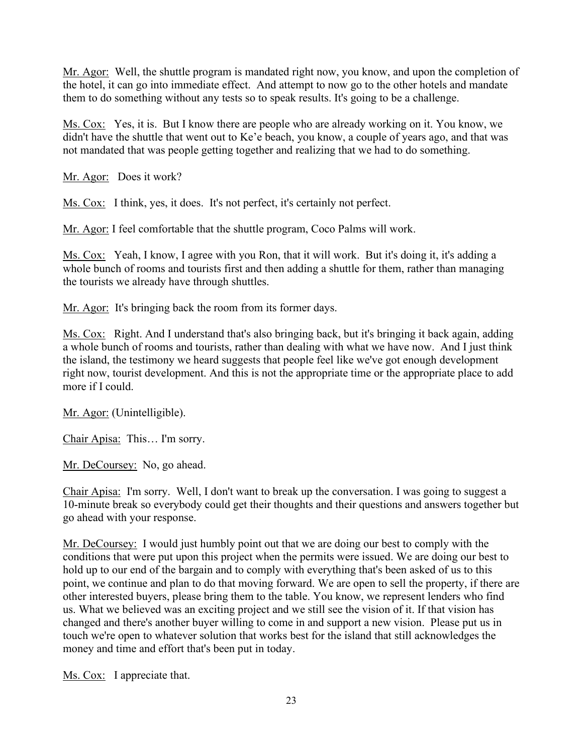Mr. Agor: Well, the shuttle program is mandated right now, you know, and upon the completion of the hotel, it can go into immediate effect. And attempt to now go to the other hotels and mandate them to do something without any tests so to speak results. It's going to be a challenge.

Ms. Cox: Yes, it is. But I know there are people who are already working on it. You know, we didn't have the shuttle that went out to Ke'e beach, you know, a couple of years ago, and that was not mandated that was people getting together and realizing that we had to do something.

Mr. Agor: Does it work?

Ms. Cox: I think, yes, it does. It's not perfect, it's certainly not perfect.

Mr. Agor: I feel comfortable that the shuttle program, Coco Palms will work.

Ms. Cox: Yeah, I know, I agree with you Ron, that it will work. But it's doing it, it's adding a whole bunch of rooms and tourists first and then adding a shuttle for them, rather than managing the tourists we already have through shuttles.

Mr. Agor: It's bringing back the room from its former days.

Ms. Cox: Right. And I understand that's also bringing back, but it's bringing it back again, adding a whole bunch of rooms and tourists, rather than dealing with what we have now. And I just think the island, the testimony we heard suggests that people feel like we've got enough development right now, tourist development. And this is not the appropriate time or the appropriate place to add more if I could.

Mr. Agor: (Unintelligible).

Chair Apisa: This… I'm sorry.

Mr. DeCoursey: No, go ahead.

Chair Apisa: I'm sorry. Well, I don't want to break up the conversation. I was going to suggest a 10-minute break so everybody could get their thoughts and their questions and answers together but go ahead with your response.

Mr. DeCoursey: I would just humbly point out that we are doing our best to comply with the conditions that were put upon this project when the permits were issued. We are doing our best to hold up to our end of the bargain and to comply with everything that's been asked of us to this point, we continue and plan to do that moving forward. We are open to sell the property, if there are other interested buyers, please bring them to the table. You know, we represent lenders who find us. What we believed was an exciting project and we still see the vision of it. If that vision has changed and there's another buyer willing to come in and support a new vision. Please put us in touch we're open to whatever solution that works best for the island that still acknowledges the money and time and effort that's been put in today.

Ms. Cox: I appreciate that.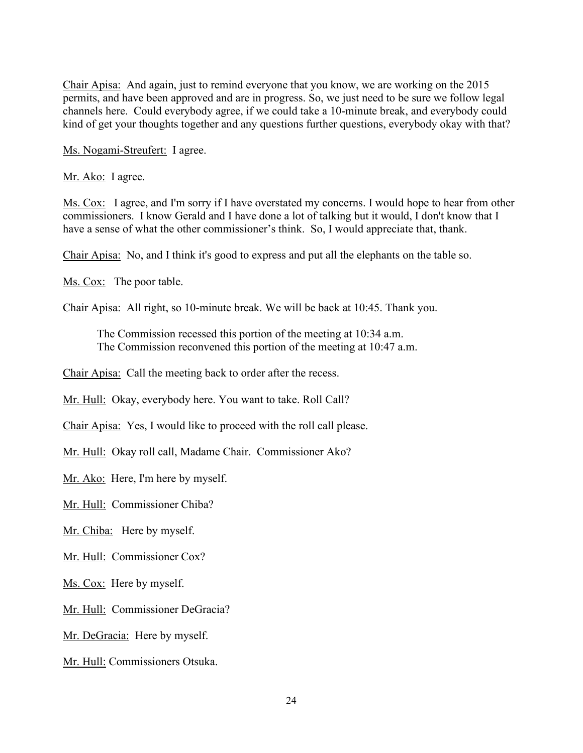Chair Apisa: And again, just to remind everyone that you know, we are working on the 2015 permits, and have been approved and are in progress. So, we just need to be sure we follow legal channels here. Could everybody agree, if we could take a 10-minute break, and everybody could kind of get your thoughts together and any questions further questions, everybody okay with that?

Ms. Nogami-Streufert: I agree.

Mr. Ako: I agree.

Ms. Cox: I agree, and I'm sorry if I have overstated my concerns. I would hope to hear from other commissioners. I know Gerald and I have done a lot of talking but it would, I don't know that I have a sense of what the other commissioner's think. So, I would appreciate that, thank.

Chair Apisa: No, and I think it's good to express and put all the elephants on the table so.

Ms. Cox: The poor table.

Chair Apisa: All right, so 10-minute break. We will be back at 10:45. Thank you.

The Commission recessed this portion of the meeting at 10:34 a.m. The Commission reconvened this portion of the meeting at 10:47 a.m.

Chair Apisa: Call the meeting back to order after the recess.

Mr. Hull: Okay, everybody here. You want to take. Roll Call?

Chair Apisa: Yes, I would like to proceed with the roll call please.

Mr. Hull: Okay roll call, Madame Chair. Commissioner Ako?

Mr. Ako: Here, I'm here by myself.

Mr. Hull: Commissioner Chiba?

Mr. Chiba: Here by myself.

Mr. Hull: Commissioner Cox?

Ms. Cox: Here by myself.

Mr. Hull: Commissioner DeGracia?

Mr. DeGracia: Here by myself.

Mr. Hull: Commissioners Otsuka.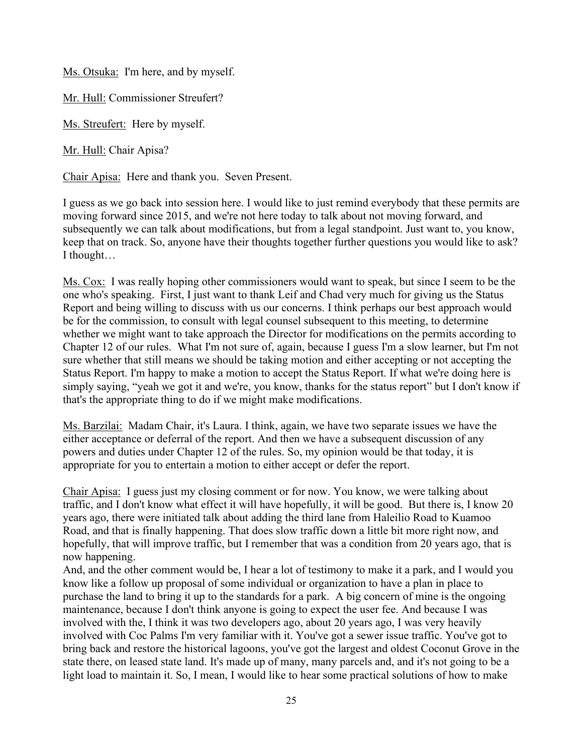Ms. Otsuka: I'm here, and by myself.

Mr. Hull: Commissioner Streufert?

Ms. Streufert: Here by myself.

Mr. Hull: Chair Apisa?

Chair Apisa: Here and thank you. Seven Present.

I guess as we go back into session here. I would like to just remind everybody that these permits are moving forward since 2015, and we're not here today to talk about not moving forward, and subsequently we can talk about modifications, but from a legal standpoint. Just want to, you know, keep that on track. So, anyone have their thoughts together further questions you would like to ask? I thought…

Ms. Cox: I was really hoping other commissioners would want to speak, but since I seem to be the one who's speaking. First, I just want to thank Leif and Chad very much for giving us the Status Report and being willing to discuss with us our concerns. I think perhaps our best approach would be for the commission, to consult with legal counsel subsequent to this meeting, to determine whether we might want to take approach the Director for modifications on the permits according to Chapter 12 of our rules. What I'm not sure of, again, because I guess I'm a slow learner, but I'm not sure whether that still means we should be taking motion and either accepting or not accepting the Status Report. I'm happy to make a motion to accept the Status Report. If what we're doing here is simply saying, "yeah we got it and we're, you know, thanks for the status report" but I don't know if that's the appropriate thing to do if we might make modifications.

Ms. Barzilai: Madam Chair, it's Laura. I think, again, we have two separate issues we have the either acceptance or deferral of the report. And then we have a subsequent discussion of any powers and duties under Chapter 12 of the rules. So, my opinion would be that today, it is appropriate for you to entertain a motion to either accept or defer the report.

Chair Apisa: I guess just my closing comment or for now. You know, we were talking about traffic, and I don't know what effect it will have hopefully, it will be good. But there is, I know 20 years ago, there were initiated talk about adding the third lane from Haleilio Road to Kuamoo Road, and that is finally happening. That does slow traffic down a little bit more right now, and hopefully, that will improve traffic, but I remember that was a condition from 20 years ago, that is now happening.

And, and the other comment would be, I hear a lot of testimony to make it a park, and I would you know like a follow up proposal of some individual or organization to have a plan in place to purchase the land to bring it up to the standards for a park. A big concern of mine is the ongoing maintenance, because I don't think anyone is going to expect the user fee. And because I was involved with the, I think it was two developers ago, about 20 years ago, I was very heavily involved with Coc Palms I'm very familiar with it. You've got a sewer issue traffic. You've got to bring back and restore the historical lagoons, you've got the largest and oldest Coconut Grove in the state there, on leased state land. It's made up of many, many parcels and, and it's not going to be a light load to maintain it. So, I mean, I would like to hear some practical solutions of how to make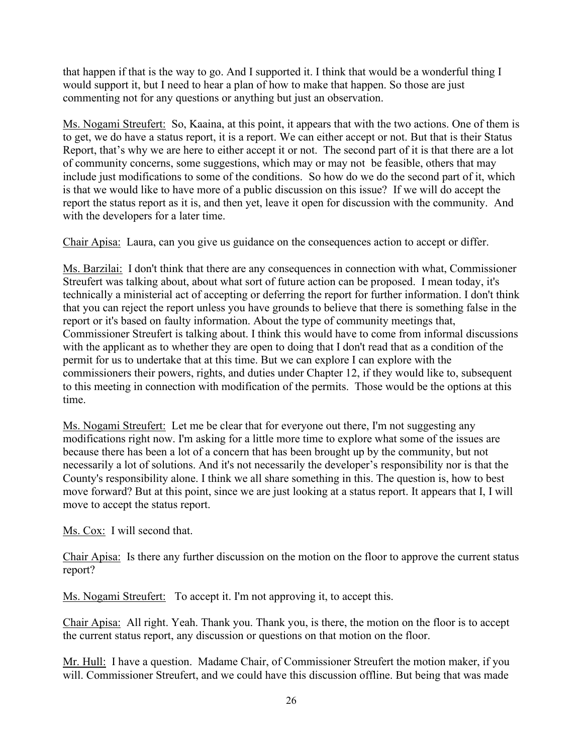that happen if that is the way to go. And I supported it. I think that would be a wonderful thing I would support it, but I need to hear a plan of how to make that happen. So those are just commenting not for any questions or anything but just an observation.

Ms. Nogami Streufert: So, Kaaina, at this point, it appears that with the two actions. One of them is to get, we do have a status report, it is a report. We can either accept or not. But that is their Status Report, that's why we are here to either accept it or not. The second part of it is that there are a lot of community concerns, some suggestions, which may or may not be feasible, others that may include just modifications to some of the conditions. So how do we do the second part of it, which is that we would like to have more of a public discussion on this issue? If we will do accept the report the status report as it is, and then yet, leave it open for discussion with the community. And with the developers for a later time.

Chair Apisa: Laura, can you give us guidance on the consequences action to accept or differ.

Ms. Barzilai: I don't think that there are any consequences in connection with what, Commissioner Streufert was talking about, about what sort of future action can be proposed. I mean today, it's technically a ministerial act of accepting or deferring the report for further information. I don't think that you can reject the report unless you have grounds to believe that there is something false in the report or it's based on faulty information. About the type of community meetings that, Commissioner Streufert is talking about. I think this would have to come from informal discussions with the applicant as to whether they are open to doing that I don't read that as a condition of the permit for us to undertake that at this time. But we can explore I can explore with the commissioners their powers, rights, and duties under Chapter 12, if they would like to, subsequent to this meeting in connection with modification of the permits. Those would be the options at this time.

Ms. Nogami Streufert: Let me be clear that for everyone out there, I'm not suggesting any modifications right now. I'm asking for a little more time to explore what some of the issues are because there has been a lot of a concern that has been brought up by the community, but not necessarily a lot of solutions. And it's not necessarily the developer's responsibility nor is that the County's responsibility alone. I think we all share something in this. The question is, how to best move forward? But at this point, since we are just looking at a status report. It appears that I, I will move to accept the status report.

Ms. Cox: I will second that.

Chair Apisa: Is there any further discussion on the motion on the floor to approve the current status report?

Ms. Nogami Streufert: To accept it. I'm not approving it, to accept this.

Chair Apisa: All right. Yeah. Thank you. Thank you, is there, the motion on the floor is to accept the current status report, any discussion or questions on that motion on the floor.

Mr. Hull: I have a question. Madame Chair, of Commissioner Streufert the motion maker, if you will. Commissioner Streufert, and we could have this discussion offline. But being that was made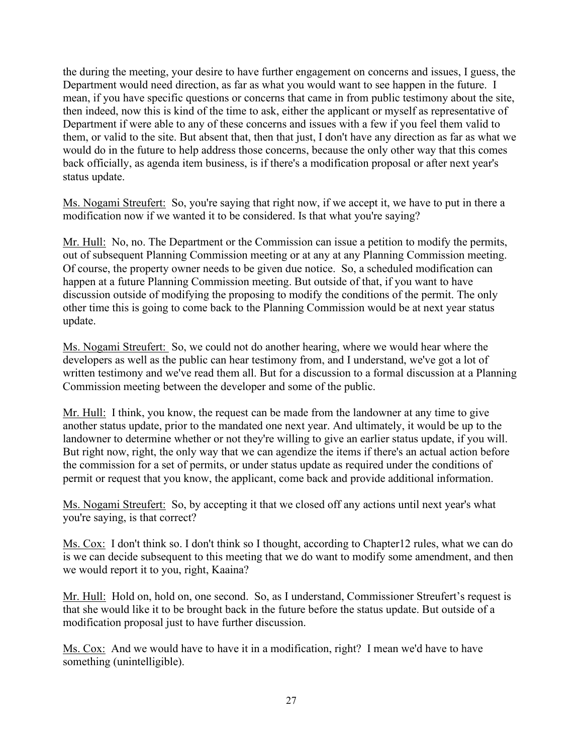the during the meeting, your desire to have further engagement on concerns and issues, I guess, the Department would need direction, as far as what you would want to see happen in the future. I mean, if you have specific questions or concerns that came in from public testimony about the site, then indeed, now this is kind of the time to ask, either the applicant or myself as representative of Department if were able to any of these concerns and issues with a few if you feel them valid to them, or valid to the site. But absent that, then that just, I don't have any direction as far as what we would do in the future to help address those concerns, because the only other way that this comes back officially, as agenda item business, is if there's a modification proposal or after next year's status update.

Ms. Nogami Streufert: So, you're saying that right now, if we accept it, we have to put in there a modification now if we wanted it to be considered. Is that what you're saying?

Mr. Hull: No, no. The Department or the Commission can issue a petition to modify the permits, out of subsequent Planning Commission meeting or at any at any Planning Commission meeting. Of course, the property owner needs to be given due notice. So, a scheduled modification can happen at a future Planning Commission meeting. But outside of that, if you want to have discussion outside of modifying the proposing to modify the conditions of the permit. The only other time this is going to come back to the Planning Commission would be at next year status update.

Ms. Nogami Streufert: So, we could not do another hearing, where we would hear where the developers as well as the public can hear testimony from, and I understand, we've got a lot of written testimony and we've read them all. But for a discussion to a formal discussion at a Planning Commission meeting between the developer and some of the public.

Mr. Hull: I think, you know, the request can be made from the landowner at any time to give another status update, prior to the mandated one next year. And ultimately, it would be up to the landowner to determine whether or not they're willing to give an earlier status update, if you will. But right now, right, the only way that we can agendize the items if there's an actual action before the commission for a set of permits, or under status update as required under the conditions of permit or request that you know, the applicant, come back and provide additional information.

Ms. Nogami Streufert: So, by accepting it that we closed off any actions until next year's what you're saying, is that correct?

Ms. Cox: I don't think so. I don't think so I thought, according to Chapter12 rules, what we can do is we can decide subsequent to this meeting that we do want to modify some amendment, and then we would report it to you, right, Kaaina?

Mr. Hull: Hold on, hold on, one second. So, as I understand, Commissioner Streufert's request is that she would like it to be brought back in the future before the status update. But outside of a modification proposal just to have further discussion.

Ms. Cox: And we would have to have it in a modification, right? I mean we'd have to have something (unintelligible).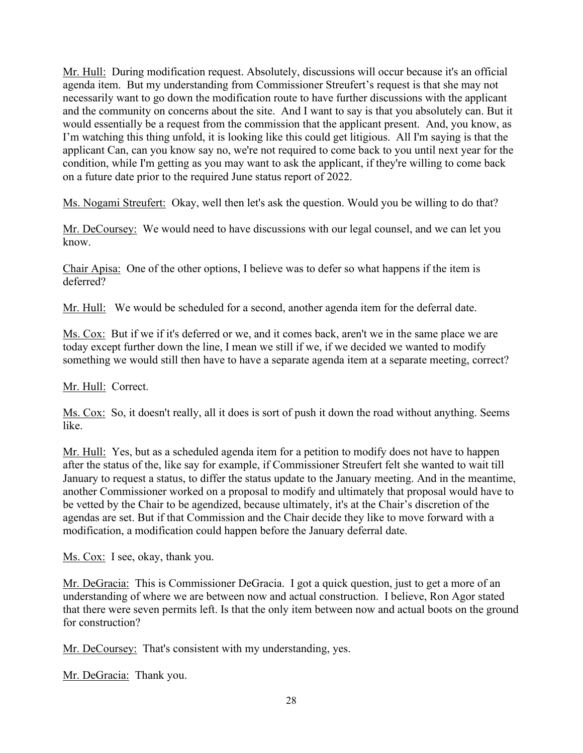Mr. Hull: During modification request. Absolutely, discussions will occur because it's an official agenda item. But my understanding from Commissioner Streufert's request is that she may not necessarily want to go down the modification route to have further discussions with the applicant and the community on concerns about the site. And I want to say is that you absolutely can. But it would essentially be a request from the commission that the applicant present. And, you know, as I'm watching this thing unfold, it is looking like this could get litigious. All I'm saying is that the applicant Can, can you know say no, we're not required to come back to you until next year for the condition, while I'm getting as you may want to ask the applicant, if they're willing to come back on a future date prior to the required June status report of 2022.

Ms. Nogami Streufert: Okay, well then let's ask the question. Would you be willing to do that?

Mr. DeCoursey: We would need to have discussions with our legal counsel, and we can let you know.

Chair Apisa: One of the other options, I believe was to defer so what happens if the item is deferred?

Mr. Hull: We would be scheduled for a second, another agenda item for the deferral date.

Ms. Cox: But if we if it's deferred or we, and it comes back, aren't we in the same place we are today except further down the line, I mean we still if we, if we decided we wanted to modify something we would still then have to have a separate agenda item at a separate meeting, correct?

Mr. Hull: Correct.

Ms. Cox: So, it doesn't really, all it does is sort of push it down the road without anything. Seems like.

Mr. Hull: Yes, but as a scheduled agenda item for a petition to modify does not have to happen after the status of the, like say for example, if Commissioner Streufert felt she wanted to wait till January to request a status, to differ the status update to the January meeting. And in the meantime, another Commissioner worked on a proposal to modify and ultimately that proposal would have to be vetted by the Chair to be agendized, because ultimately, it's at the Chair's discretion of the agendas are set. But if that Commission and the Chair decide they like to move forward with a modification, a modification could happen before the January deferral date.

Ms. Cox: I see, okay, thank you.

Mr. DeGracia: This is Commissioner DeGracia. I got a quick question, just to get a more of an understanding of where we are between now and actual construction. I believe, Ron Agor stated that there were seven permits left. Is that the only item between now and actual boots on the ground for construction?

Mr. DeCoursey: That's consistent with my understanding, yes.

Mr. DeGracia: Thank you.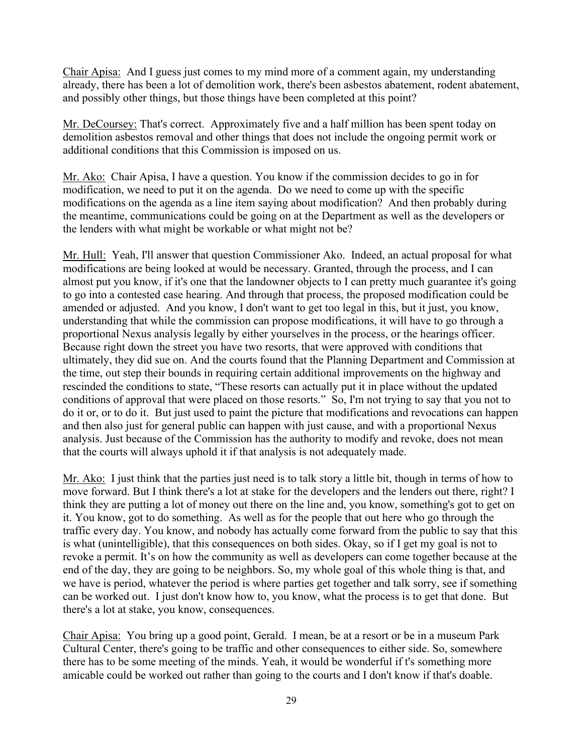Chair Apisa: And I guess just comes to my mind more of a comment again, my understanding already, there has been a lot of demolition work, there's been asbestos abatement, rodent abatement, and possibly other things, but those things have been completed at this point?

Mr. DeCoursey: That's correct. Approximately five and a half million has been spent today on demolition asbestos removal and other things that does not include the ongoing permit work or additional conditions that this Commission is imposed on us.

Mr. Ako: Chair Apisa, I have a question. You know if the commission decides to go in for modification, we need to put it on the agenda. Do we need to come up with the specific modifications on the agenda as a line item saying about modification? And then probably during the meantime, communications could be going on at the Department as well as the developers or the lenders with what might be workable or what might not be?

Mr. Hull: Yeah, I'll answer that question Commissioner Ako. Indeed, an actual proposal for what modifications are being looked at would be necessary. Granted, through the process, and I can almost put you know, if it's one that the landowner objects to I can pretty much guarantee it's going to go into a contested case hearing. And through that process, the proposed modification could be amended or adjusted. And you know, I don't want to get too legal in this, but it just, you know, understanding that while the commission can propose modifications, it will have to go through a proportional Nexus analysis legally by either yourselves in the process, or the hearings officer. Because right down the street you have two resorts, that were approved with conditions that ultimately, they did sue on. And the courts found that the Planning Department and Commission at the time, out step their bounds in requiring certain additional improvements on the highway and rescinded the conditions to state, "These resorts can actually put it in place without the updated conditions of approval that were placed on those resorts." So, I'm not trying to say that you not to do it or, or to do it. But just used to paint the picture that modifications and revocations can happen and then also just for general public can happen with just cause, and with a proportional Nexus analysis. Just because of the Commission has the authority to modify and revoke, does not mean that the courts will always uphold it if that analysis is not adequately made.

Mr. Ako: I just think that the parties just need is to talk story a little bit, though in terms of how to move forward. But I think there's a lot at stake for the developers and the lenders out there, right? I think they are putting a lot of money out there on the line and, you know, something's got to get on it. You know, got to do something. As well as for the people that out here who go through the traffic every day. You know, and nobody has actually come forward from the public to say that this is what (unintelligible), that this consequences on both sides. Okay, so if I get my goal is not to revoke a permit. It's on how the community as well as developers can come together because at the end of the day, they are going to be neighbors. So, my whole goal of this whole thing is that, and we have is period, whatever the period is where parties get together and talk sorry, see if something can be worked out. I just don't know how to, you know, what the process is to get that done. But there's a lot at stake, you know, consequences.

Chair Apisa: You bring up a good point, Gerald. I mean, be at a resort or be in a museum Park Cultural Center, there's going to be traffic and other consequences to either side. So, somewhere there has to be some meeting of the minds. Yeah, it would be wonderful if t's something more amicable could be worked out rather than going to the courts and I don't know if that's doable.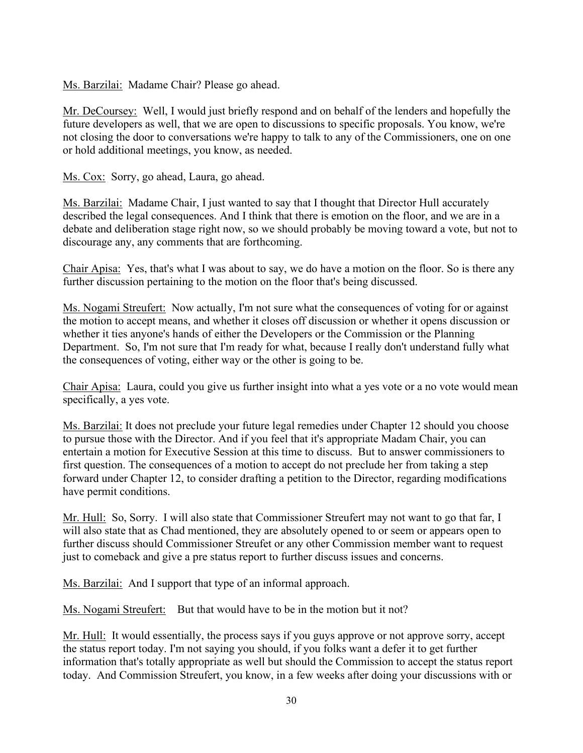Ms. Barzilai: Madame Chair? Please go ahead.

Mr. DeCoursey: Well, I would just briefly respond and on behalf of the lenders and hopefully the future developers as well, that we are open to discussions to specific proposals. You know, we're not closing the door to conversations we're happy to talk to any of the Commissioners, one on one or hold additional meetings, you know, as needed.

Ms. Cox: Sorry, go ahead, Laura, go ahead.

Ms. Barzilai: Madame Chair, I just wanted to say that I thought that Director Hull accurately described the legal consequences. And I think that there is emotion on the floor, and we are in a debate and deliberation stage right now, so we should probably be moving toward a vote, but not to discourage any, any comments that are forthcoming.

Chair Apisa: Yes, that's what I was about to say, we do have a motion on the floor. So is there any further discussion pertaining to the motion on the floor that's being discussed.

Ms. Nogami Streufert: Now actually, I'm not sure what the consequences of voting for or against the motion to accept means, and whether it closes off discussion or whether it opens discussion or whether it ties anyone's hands of either the Developers or the Commission or the Planning Department. So, I'm not sure that I'm ready for what, because I really don't understand fully what the consequences of voting, either way or the other is going to be.

Chair Apisa: Laura, could you give us further insight into what a yes vote or a no vote would mean specifically, a yes vote.

Ms. Barzilai: It does not preclude your future legal remedies under Chapter 12 should you choose to pursue those with the Director. And if you feel that it's appropriate Madam Chair, you can entertain a motion for Executive Session at this time to discuss. But to answer commissioners to first question. The consequences of a motion to accept do not preclude her from taking a step forward under Chapter 12, to consider drafting a petition to the Director, regarding modifications have permit conditions.

Mr. Hull: So, Sorry. I will also state that Commissioner Streufert may not want to go that far, I will also state that as Chad mentioned, they are absolutely opened to or seem or appears open to further discuss should Commissioner Streufet or any other Commission member want to request just to comeback and give a pre status report to further discuss issues and concerns.

Ms. Barzilai: And I support that type of an informal approach.

Ms. Nogami Streufert: But that would have to be in the motion but it not?

Mr. Hull: It would essentially, the process says if you guys approve or not approve sorry, accept the status report today. I'm not saying you should, if you folks want a defer it to get further information that's totally appropriate as well but should the Commission to accept the status report today. And Commission Streufert, you know, in a few weeks after doing your discussions with or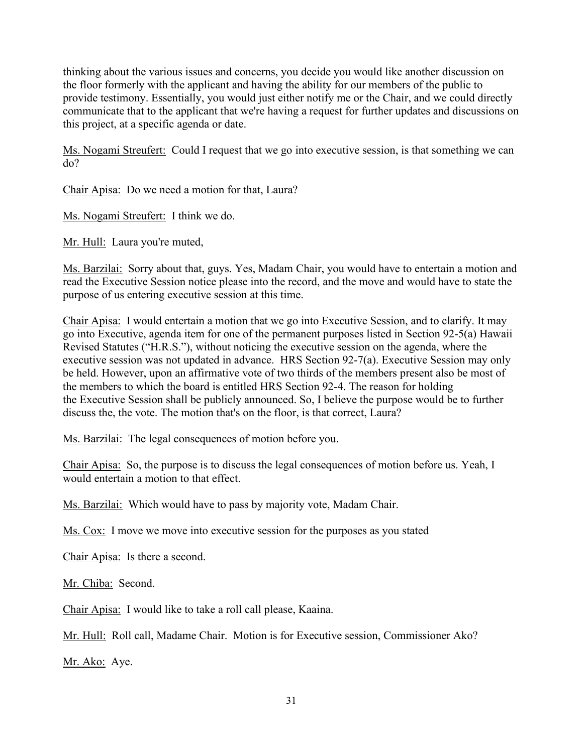thinking about the various issues and concerns, you decide you would like another discussion on the floor formerly with the applicant and having the ability for our members of the public to provide testimony. Essentially, you would just either notify me or the Chair, and we could directly communicate that to the applicant that we're having a request for further updates and discussions on this project, at a specific agenda or date.

Ms. Nogami Streufert: Could I request that we go into executive session, is that something we can do?

Chair Apisa: Do we need a motion for that, Laura?

Ms. Nogami Streufert: I think we do.

Mr. Hull: Laura you're muted,

Ms. Barzilai: Sorry about that, guys. Yes, Madam Chair, you would have to entertain a motion and read the Executive Session notice please into the record, and the move and would have to state the purpose of us entering executive session at this time.

Chair Apisa: I would entertain a motion that we go into Executive Session, and to clarify. It may go into Executive, agenda item for one of the permanent purposes listed in Section 92-5(a) Hawaii Revised Statutes ("H.R.S."), without noticing the executive session on the agenda, where the executive session was not updated in advance. HRS Section 92-7(a). Executive Session may only be held. However, upon an affirmative vote of two thirds of the members present also be most of the members to which the board is entitled HRS Section 92-4. The reason for holding the Executive Session shall be publicly announced. So, I believe the purpose would be to further discuss the, the vote. The motion that's on the floor, is that correct, Laura?

Ms. Barzilai: The legal consequences of motion before you.

Chair Apisa: So, the purpose is to discuss the legal consequences of motion before us. Yeah, I would entertain a motion to that effect.

Ms. Barzilai: Which would have to pass by majority vote, Madam Chair.

Ms. Cox: I move we move into executive session for the purposes as you stated

Chair Apisa: Is there a second.

Mr. Chiba: Second.

Chair Apisa: I would like to take a roll call please, Kaaina.

Mr. Hull: Roll call, Madame Chair. Motion is for Executive session, Commissioner Ako?

Mr. Ako: Aye.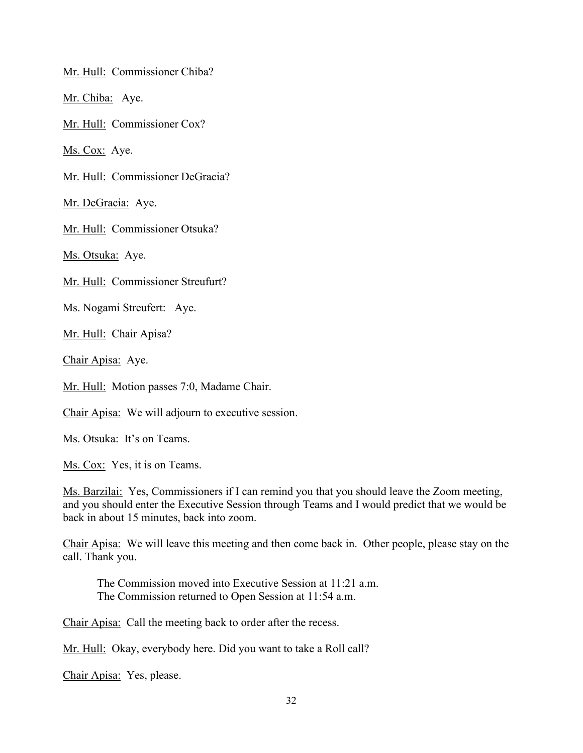Mr. Hull: Commissioner Chiba?

Mr. Chiba: Aye.

Mr. Hull: Commissioner Cox?

Ms. Cox: Aye.

Mr. Hull: Commissioner DeGracia?

Mr. DeGracia: Aye.

Mr. Hull: Commissioner Otsuka?

Ms. Otsuka: Aye.

Mr. Hull: Commissioner Streufurt?

Ms. Nogami Streufert: Aye.

Mr. Hull: Chair Apisa?

Chair Apisa: Aye.

Mr. Hull: Motion passes 7:0, Madame Chair.

Chair Apisa: We will adjourn to executive session.

Ms. Otsuka: It's on Teams.

Ms. Cox: Yes, it is on Teams.

Ms. Barzilai: Yes, Commissioners if I can remind you that you should leave the Zoom meeting, and you should enter the Executive Session through Teams and I would predict that we would be back in about 15 minutes, back into zoom.

Chair Apisa: We will leave this meeting and then come back in. Other people, please stay on the call. Thank you.

The Commission moved into Executive Session at 11:21 a.m. The Commission returned to Open Session at 11:54 a.m.

Chair Apisa: Call the meeting back to order after the recess.

Mr. Hull: Okay, everybody here. Did you want to take a Roll call?

Chair Apisa: Yes, please.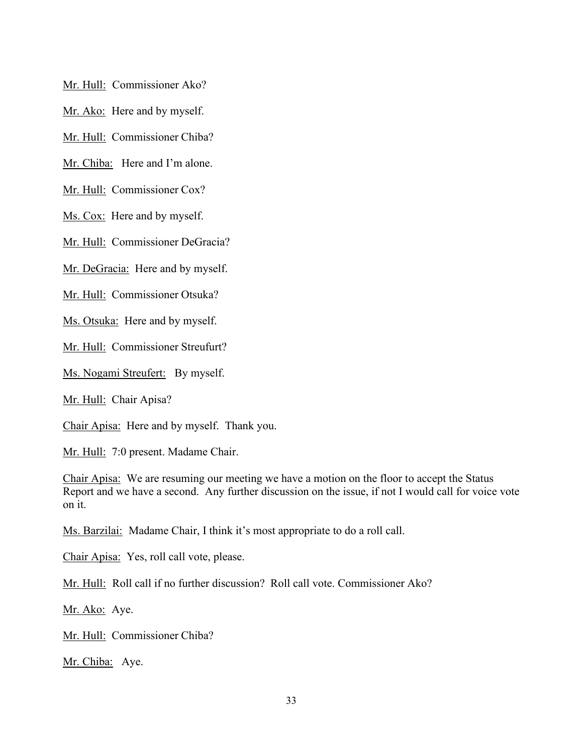Mr. Hull: Commissioner Ako?

Mr. Ako: Here and by myself.

Mr. Hull: Commissioner Chiba?

Mr. Chiba: Here and I'm alone.

Mr. Hull: Commissioner Cox?

Ms. Cox: Here and by myself.

Mr. Hull: Commissioner DeGracia?

Mr. DeGracia: Here and by myself.

Mr. Hull: Commissioner Otsuka?

Ms. Otsuka: Here and by myself.

Mr. Hull: Commissioner Streufurt?

Ms. Nogami Streufert: By myself.

Mr. Hull: Chair Apisa?

Chair Apisa: Here and by myself. Thank you.

Mr. Hull: 7:0 present. Madame Chair.

Chair Apisa: We are resuming our meeting we have a motion on the floor to accept the Status Report and we have a second. Any further discussion on the issue, if not I would call for voice vote on it.

Ms. Barzilai: Madame Chair, I think it's most appropriate to do a roll call.

Chair Apisa: Yes, roll call vote, please.

Mr. Hull: Roll call if no further discussion? Roll call vote. Commissioner Ako?

Mr. Ako: Aye.

Mr. Hull: Commissioner Chiba?

Mr. Chiba: Aye.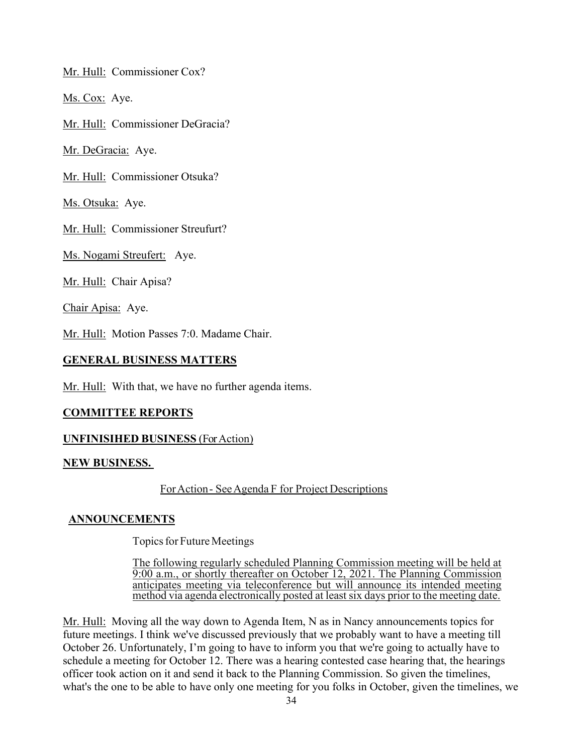Mr. Hull: Commissioner Cox?

Ms. Cox: Aye.

Mr. Hull: Commissioner DeGracia?

Mr. DeGracia: Aye.

Mr. Hull: Commissioner Otsuka?

Ms. Otsuka: Aye.

Mr. Hull: Commissioner Streufurt?

Ms. Nogami Streufert: Aye.

Mr. Hull: Chair Apisa?

Chair Apisa: Aye.

Mr. Hull: Motion Passes 7:0. Madame Chair.

### **GENERAL BUSINESS MATTERS**

Mr. Hull: With that, we have no further agenda items.

### **COMMITTEE REPORTS**

### **UNFINISIHED BUSINESS** (For Action)

### **NEW BUSINESS.**

## ForAction - See Agenda F for Project Descriptions

### **ANNOUNCEMENTS**

Topics for Future Meetings

The following regularly scheduled Planning Commission meeting will be held at 9:00 a.m., or shortly thereafter on October 12, 2021. The Planning Commission anticipates meeting via teleconference but will announce its intended meeting method via agenda electronically posted at least six days prior to the meeting date.

Mr. Hull: Moving all the way down to Agenda Item, N as in Nancy announcements topics for future meetings. I think we've discussed previously that we probably want to have a meeting till October 26. Unfortunately, I'm going to have to inform you that we're going to actually have to schedule a meeting for October 12. There was a hearing contested case hearing that, the hearings officer took action on it and send it back to the Planning Commission. So given the timelines, what's the one to be able to have only one meeting for you folks in October, given the timelines, we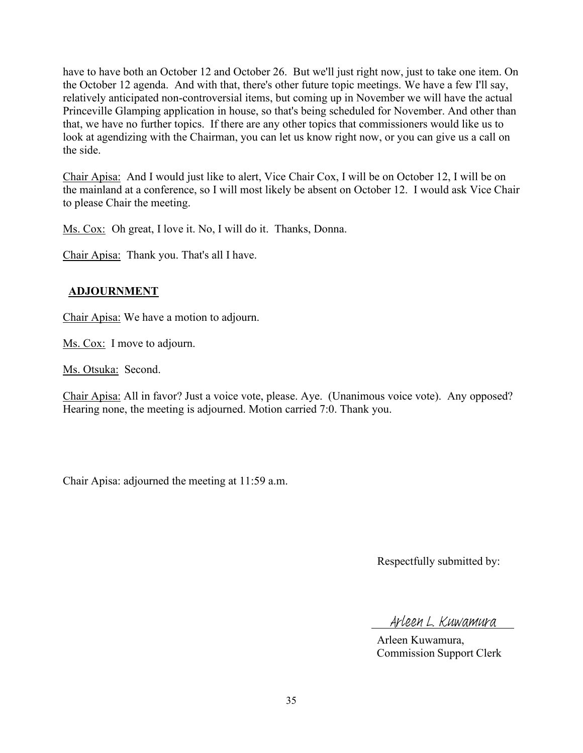have to have both an October 12 and October 26. But we'll just right now, just to take one item. On the October 12 agenda. And with that, there's other future topic meetings. We have a few I'll say, relatively anticipated non-controversial items, but coming up in November we will have the actual Princeville Glamping application in house, so that's being scheduled for November. And other than that, we have no further topics. If there are any other topics that commissioners would like us to look at agendizing with the Chairman, you can let us know right now, or you can give us a call on the side.

Chair Apisa: And I would just like to alert, Vice Chair Cox, I will be on October 12, I will be on the mainland at a conference, so I will most likely be absent on October 12. I would ask Vice Chair to please Chair the meeting.

Ms. Cox: Oh great, I love it. No, I will do it. Thanks, Donna.

Chair Apisa: Thank you. That's all I have.

# **ADJOURNMENT**

Chair Apisa: We have a motion to adjourn.

Ms. Cox: I move to adjourn.

Ms. Otsuka: Second.

Chair Apisa: All in favor? Just a voice vote, please. Aye. (Unanimous voice vote). Any opposed? Hearing none, the meeting is adjourned. Motion carried 7:0. Thank you.

Chair Apisa: adjourned the meeting at 11:59 a.m.

Respectfully submitted by:

Arleen L. Kuwamura

Arleen Kuwamura, Commission Support Clerk